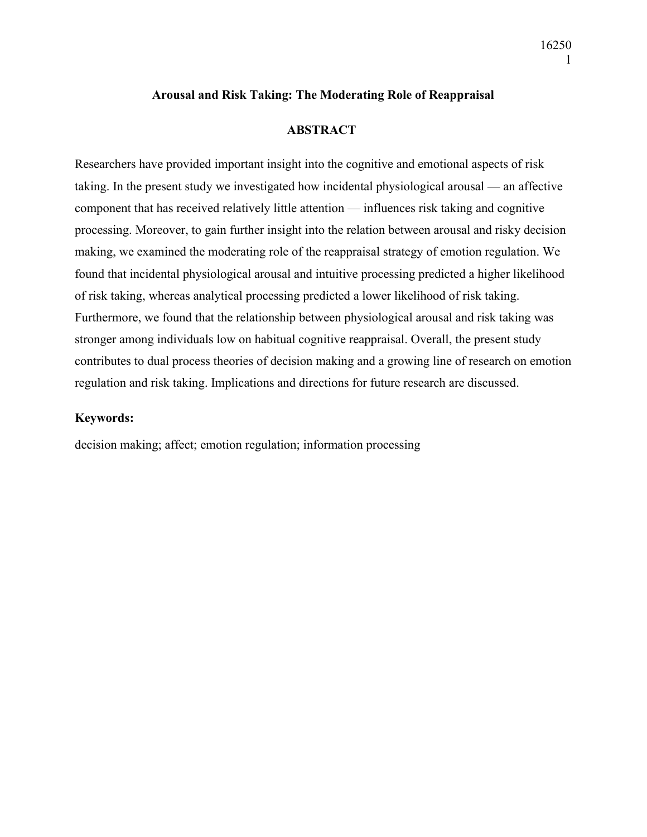## **Arousal and Risk Taking: The Moderating Role of Reappraisal**

### **ABSTRACT**

Researchers have provided important insight into the cognitive and emotional aspects of risk taking. In the present study we investigated how incidental physiological arousal — an affective component that has received relatively little attention — influences risk taking and cognitive processing. Moreover, to gain further insight into the relation between arousal and risky decision making, we examined the moderating role of the reappraisal strategy of emotion regulation. We found that incidental physiological arousal and intuitive processing predicted a higher likelihood of risk taking, whereas analytical processing predicted a lower likelihood of risk taking. Furthermore, we found that the relationship between physiological arousal and risk taking was stronger among individuals low on habitual cognitive reappraisal. Overall, the present study contributes to dual process theories of decision making and a growing line of research on emotion regulation and risk taking. Implications and directions for future research are discussed.

#### **Keywords:**

decision making; affect; emotion regulation; information processing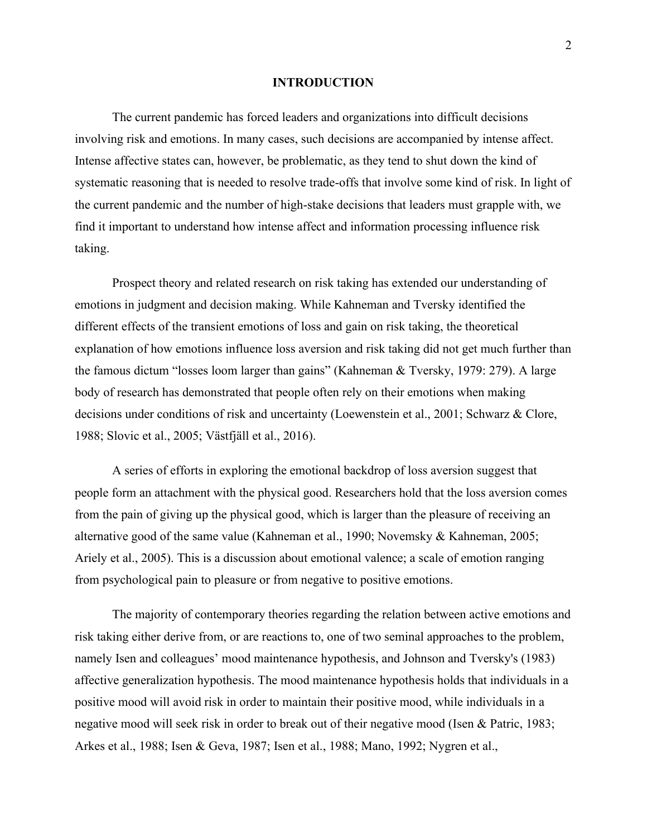#### **INTRODUCTION**

The current pandemic has forced leaders and organizations into difficult decisions involving risk and emotions. In many cases, such decisions are accompanied by intense affect. Intense affective states can, however, be problematic, as they tend to shut down the kind of systematic reasoning that is needed to resolve trade-offs that involve some kind of risk. In light of the current pandemic and the number of high-stake decisions that leaders must grapple with, we find it important to understand how intense affect and information processing influence risk taking.

Prospect theory and related research on risk taking has extended our understanding of emotions in judgment and decision making. While Kahneman and Tversky identified the different effects of the transient emotions of loss and gain on risk taking, the theoretical explanation of how emotions influence loss aversion and risk taking did not get much further than the famous dictum "losses loom larger than gains" (Kahneman & Tversky, 1979: 279). A large body of research has demonstrated that people often rely on their emotions when making decisions under conditions of risk and uncertainty (Loewenstein et al., 2001; Schwarz & Clore, 1988; Slovic et al., 2005; Västfjäll et al., 2016).

A series of efforts in exploring the emotional backdrop of loss aversion suggest that people form an attachment with the physical good. Researchers hold that the loss aversion comes from the pain of giving up the physical good, which is larger than the pleasure of receiving an alternative good of the same value (Kahneman et al., 1990; Novemsky & Kahneman, 2005; Ariely et al., 2005). This is a discussion about emotional valence; a scale of emotion ranging from psychological pain to pleasure or from negative to positive emotions.

The majority of contemporary theories regarding the relation between active emotions and risk taking either derive from, or are reactions to, one of two seminal approaches to the problem, namely Isen and colleagues' mood maintenance hypothesis, and Johnson and Tversky's (1983) affective generalization hypothesis. The mood maintenance hypothesis holds that individuals in a positive mood will avoid risk in order to maintain their positive mood, while individuals in a negative mood will seek risk in order to break out of their negative mood (Isen & Patric, 1983; Arkes et al., 1988; Isen & Geva, 1987; Isen et al., 1988; Mano, 1992; Nygren et al.,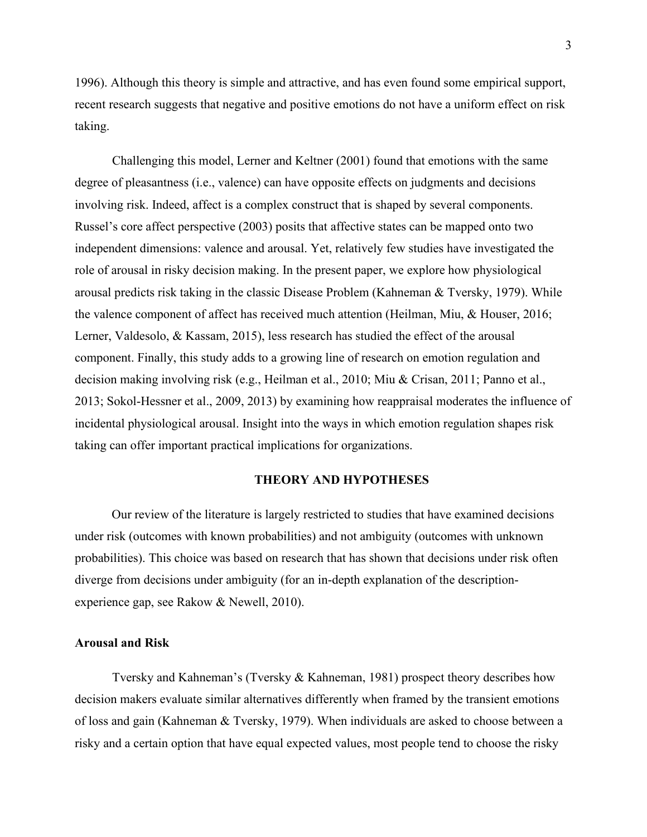1996). Although this theory is simple and attractive, and has even found some empirical support, recent research suggests that negative and positive emotions do not have a uniform effect on risk taking.

Challenging this model, Lerner and Keltner (2001) found that emotions with the same degree of pleasantness (i.e., valence) can have opposite effects on judgments and decisions involving risk. Indeed, affect is a complex construct that is shaped by several components. Russel's core affect perspective (2003) posits that affective states can be mapped onto two independent dimensions: valence and arousal. Yet, relatively few studies have investigated the role of arousal in risky decision making. In the present paper, we explore how physiological arousal predicts risk taking in the classic Disease Problem (Kahneman & Tversky, 1979). While the valence component of affect has received much attention (Heilman, Miu, & Houser, 2016; Lerner, Valdesolo, & Kassam, 2015), less research has studied the effect of the arousal component. Finally, this study adds to a growing line of research on emotion regulation and decision making involving risk (e.g., Heilman et al., 2010; Miu & Crisan, 2011; Panno et al., 2013; Sokol-Hessner et al., 2009, 2013) by examining how reappraisal moderates the influence of incidental physiological arousal. Insight into the ways in which emotion regulation shapes risk taking can offer important practical implications for organizations.

#### **THEORY AND HYPOTHESES**

Our review of the literature is largely restricted to studies that have examined decisions under risk (outcomes with known probabilities) and not ambiguity (outcomes with unknown probabilities). This choice was based on research that has shown that decisions under risk often diverge from decisions under ambiguity (for an in-depth explanation of the descriptionexperience gap, see Rakow & Newell, 2010).

#### **Arousal and Risk**

Tversky and Kahneman's (Tversky & Kahneman, 1981) prospect theory describes how decision makers evaluate similar alternatives differently when framed by the transient emotions of loss and gain (Kahneman & Tversky, 1979). When individuals are asked to choose between a risky and a certain option that have equal expected values, most people tend to choose the risky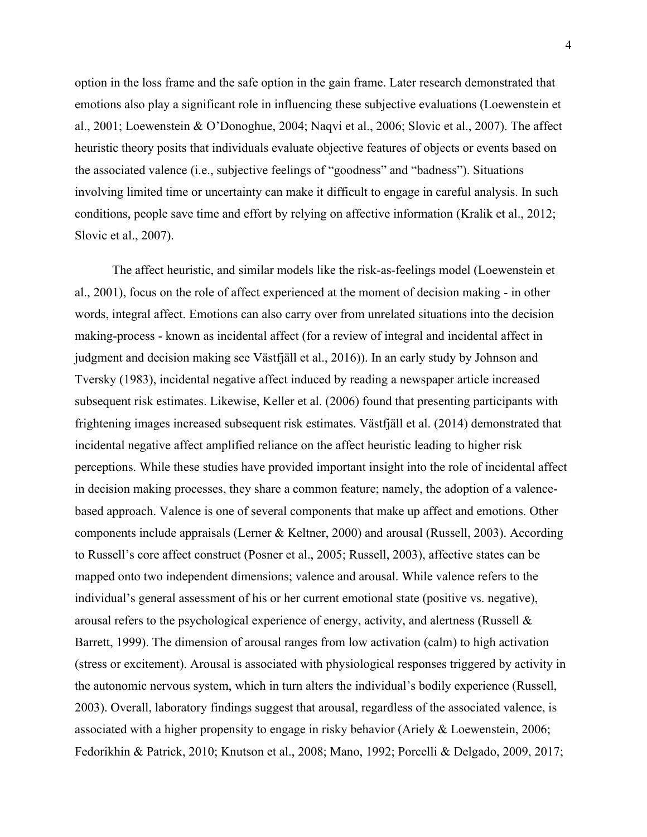option in the loss frame and the safe option in the gain frame. Later research demonstrated that emotions also play a significant role in influencing these subjective evaluations (Loewenstein et al., 2001; Loewenstein & O'Donoghue, 2004; Naqvi et al., 2006; Slovic et al., 2007). The affect heuristic theory posits that individuals evaluate objective features of objects or events based on the associated valence (i.e., subjective feelings of "goodness" and "badness"). Situations involving limited time or uncertainty can make it difficult to engage in careful analysis. In such conditions, people save time and effort by relying on affective information (Kralik et al., 2012; Slovic et al., 2007).

The affect heuristic, and similar models like the risk-as-feelings model (Loewenstein et al., 2001), focus on the role of affect experienced at the moment of decision making - in other words, integral affect. Emotions can also carry over from unrelated situations into the decision making-process - known as incidental affect (for a review of integral and incidental affect in judgment and decision making see Västfjäll et al., 2016)). In an early study by Johnson and Tversky (1983), incidental negative affect induced by reading a newspaper article increased subsequent risk estimates. Likewise, Keller et al. (2006) found that presenting participants with frightening images increased subsequent risk estimates. Västfjäll et al. (2014) demonstrated that incidental negative affect amplified reliance on the affect heuristic leading to higher risk perceptions. While these studies have provided important insight into the role of incidental affect in decision making processes, they share a common feature; namely, the adoption of a valencebased approach. Valence is one of several components that make up affect and emotions. Other components include appraisals (Lerner & Keltner, 2000) and arousal (Russell, 2003). According to Russell's core affect construct (Posner et al., 2005; Russell, 2003), affective states can be mapped onto two independent dimensions; valence and arousal. While valence refers to the individual's general assessment of his or her current emotional state (positive vs. negative), arousal refers to the psychological experience of energy, activity, and alertness (Russell & Barrett, 1999). The dimension of arousal ranges from low activation (calm) to high activation (stress or excitement). Arousal is associated with physiological responses triggered by activity in the autonomic nervous system, which in turn alters the individual's bodily experience (Russell, 2003). Overall, laboratory findings suggest that arousal, regardless of the associated valence, is associated with a higher propensity to engage in risky behavior (Ariely & Loewenstein, 2006; Fedorikhin & Patrick, 2010; Knutson et al., 2008; Mano, 1992; Porcelli & Delgado, 2009, 2017;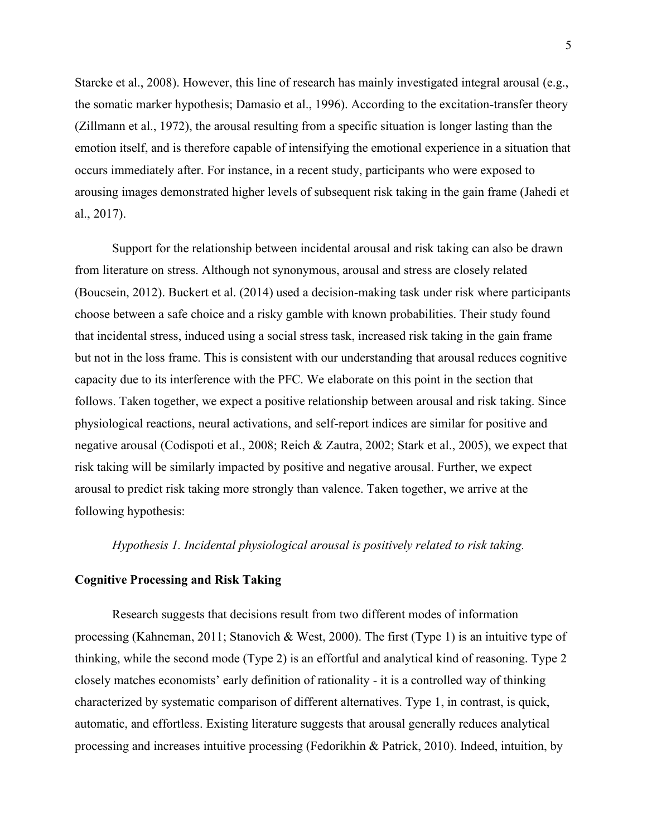Starcke et al., 2008). However, this line of research has mainly investigated integral arousal (e.g., the somatic marker hypothesis; Damasio et al., 1996). According to the excitation-transfer theory (Zillmann et al., 1972), the arousal resulting from a specific situation is longer lasting than the emotion itself, and is therefore capable of intensifying the emotional experience in a situation that occurs immediately after. For instance, in a recent study, participants who were exposed to arousing images demonstrated higher levels of subsequent risk taking in the gain frame (Jahedi et al., 2017).

Support for the relationship between incidental arousal and risk taking can also be drawn from literature on stress. Although not synonymous, arousal and stress are closely related (Boucsein, 2012). Buckert et al. (2014) used a decision-making task under risk where participants choose between a safe choice and a risky gamble with known probabilities. Their study found that incidental stress, induced using a social stress task, increased risk taking in the gain frame but not in the loss frame. This is consistent with our understanding that arousal reduces cognitive capacity due to its interference with the PFC. We elaborate on this point in the section that follows. Taken together, we expect a positive relationship between arousal and risk taking. Since physiological reactions, neural activations, and self-report indices are similar for positive and negative arousal (Codispoti et al., 2008; Reich & Zautra, 2002; Stark et al., 2005), we expect that risk taking will be similarly impacted by positive and negative arousal. Further, we expect arousal to predict risk taking more strongly than valence. Taken together, we arrive at the following hypothesis:

#### *Hypothesis 1. Incidental physiological arousal is positively related to risk taking.*

#### **Cognitive Processing and Risk Taking**

Research suggests that decisions result from two different modes of information processing (Kahneman, 2011; Stanovich & West, 2000). The first (Type 1) is an intuitive type of thinking, while the second mode (Type 2) is an effortful and analytical kind of reasoning. Type 2 closely matches economists' early definition of rationality - it is a controlled way of thinking characterized by systematic comparison of different alternatives. Type 1, in contrast, is quick, automatic, and effortless. Existing literature suggests that arousal generally reduces analytical processing and increases intuitive processing (Fedorikhin & Patrick, 2010). Indeed, intuition, by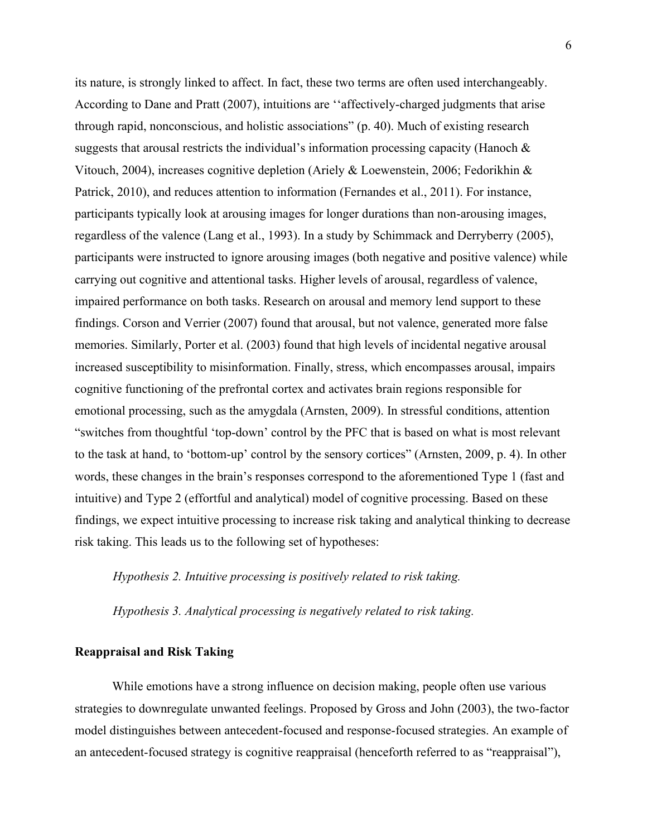its nature, is strongly linked to affect. In fact, these two terms are often used interchangeably. According to Dane and Pratt (2007), intuitions are ''affectively-charged judgments that arise through rapid, nonconscious, and holistic associations" (p. 40). Much of existing research suggests that arousal restricts the individual's information processing capacity (Hanoch  $\&$ Vitouch, 2004), increases cognitive depletion (Ariely & Loewenstein, 2006; Fedorikhin & Patrick, 2010), and reduces attention to information (Fernandes et al., 2011). For instance, participants typically look at arousing images for longer durations than non-arousing images, regardless of the valence (Lang et al., 1993). In a study by Schimmack and Derryberry (2005), participants were instructed to ignore arousing images (both negative and positive valence) while carrying out cognitive and attentional tasks. Higher levels of arousal, regardless of valence, impaired performance on both tasks. Research on arousal and memory lend support to these findings. Corson and Verrier (2007) found that arousal, but not valence, generated more false memories. Similarly, Porter et al. (2003) found that high levels of incidental negative arousal increased susceptibility to misinformation. Finally, stress, which encompasses arousal, impairs cognitive functioning of the prefrontal cortex and activates brain regions responsible for emotional processing, such as the amygdala (Arnsten, 2009). In stressful conditions, attention "switches from thoughtful 'top-down' control by the PFC that is based on what is most relevant to the task at hand, to 'bottom-up' control by the sensory cortices" (Arnsten, 2009, p. 4). In other words, these changes in the brain's responses correspond to the aforementioned Type 1 (fast and intuitive) and Type 2 (effortful and analytical) model of cognitive processing. Based on these findings, we expect intuitive processing to increase risk taking and analytical thinking to decrease risk taking. This leads us to the following set of hypotheses:

*Hypothesis 2. Intuitive processing is positively related to risk taking.*

*Hypothesis 3. Analytical processing is negatively related to risk taking.*

#### **Reappraisal and Risk Taking**

While emotions have a strong influence on decision making, people often use various strategies to downregulate unwanted feelings. Proposed by Gross and John (2003), the two-factor model distinguishes between antecedent-focused and response-focused strategies. An example of an antecedent-focused strategy is cognitive reappraisal (henceforth referred to as "reappraisal"),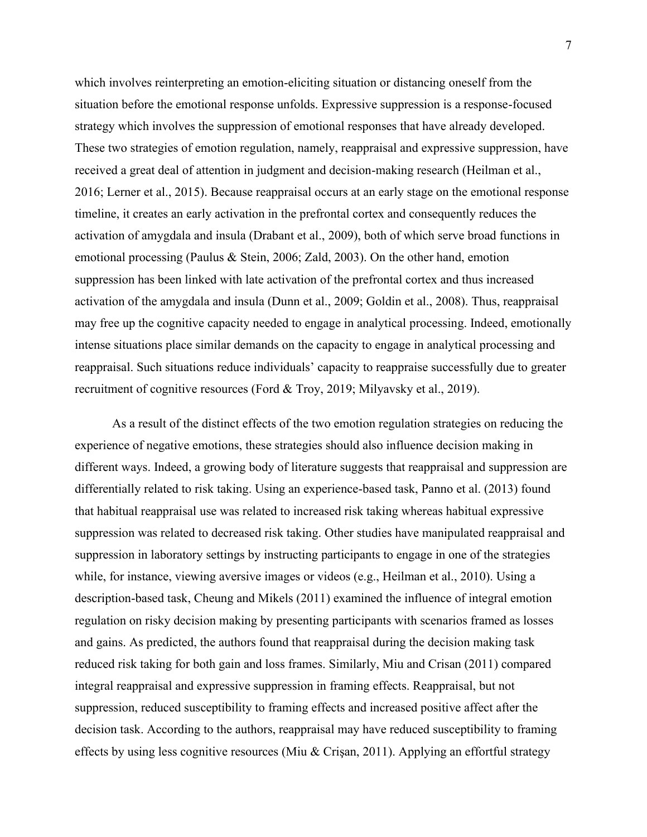which involves reinterpreting an emotion-eliciting situation or distancing oneself from the situation before the emotional response unfolds. Expressive suppression is a response-focused strategy which involves the suppression of emotional responses that have already developed. These two strategies of emotion regulation, namely, reappraisal and expressive suppression, have received a great deal of attention in judgment and decision-making research (Heilman et al., 2016; Lerner et al., 2015). Because reappraisal occurs at an early stage on the emotional response timeline, it creates an early activation in the prefrontal cortex and consequently reduces the activation of amygdala and insula (Drabant et al., 2009), both of which serve broad functions in emotional processing (Paulus & Stein, 2006; Zald, 2003). On the other hand, emotion suppression has been linked with late activation of the prefrontal cortex and thus increased activation of the amygdala and insula (Dunn et al., 2009; Goldin et al., 2008). Thus, reappraisal may free up the cognitive capacity needed to engage in analytical processing. Indeed, emotionally intense situations place similar demands on the capacity to engage in analytical processing and reappraisal. Such situations reduce individuals' capacity to reappraise successfully due to greater recruitment of cognitive resources (Ford & Troy, 2019; Milyavsky et al., 2019).

As a result of the distinct effects of the two emotion regulation strategies on reducing the experience of negative emotions, these strategies should also influence decision making in different ways. Indeed, a growing body of literature suggests that reappraisal and suppression are differentially related to risk taking. Using an experience-based task, Panno et al. (2013) found that habitual reappraisal use was related to increased risk taking whereas habitual expressive suppression was related to decreased risk taking. Other studies have manipulated reappraisal and suppression in laboratory settings by instructing participants to engage in one of the strategies while, for instance, viewing aversive images or videos (e.g., Heilman et al., 2010). Using a description-based task, Cheung and Mikels (2011) examined the influence of integral emotion regulation on risky decision making by presenting participants with scenarios framed as losses and gains. As predicted, the authors found that reappraisal during the decision making task reduced risk taking for both gain and loss frames. Similarly, Miu and Crisan (2011) compared integral reappraisal and expressive suppression in framing effects. Reappraisal, but not suppression, reduced susceptibility to framing effects and increased positive affect after the decision task. According to the authors, reappraisal may have reduced susceptibility to framing effects by using less cognitive resources (Miu & Crişan, 2011). Applying an effortful strategy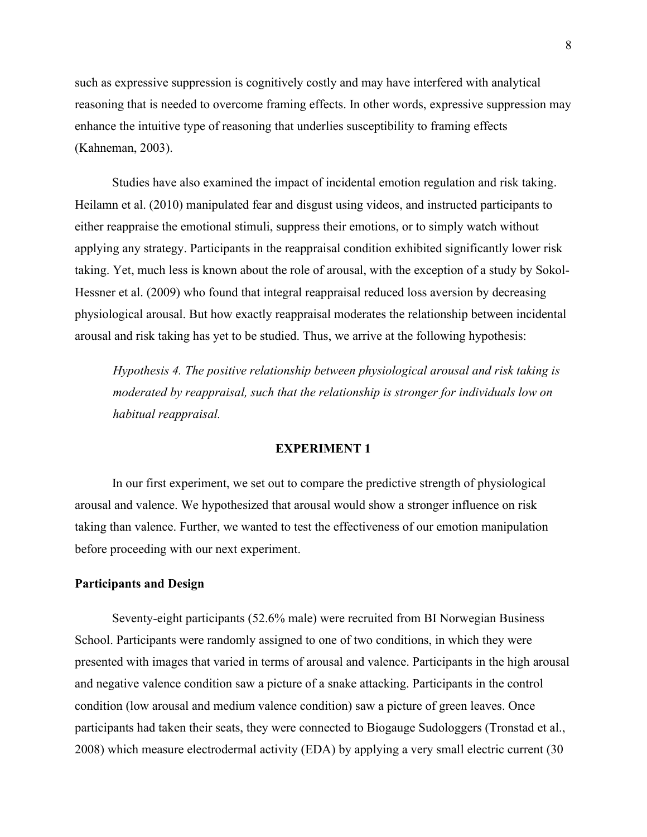such as expressive suppression is cognitively costly and may have interfered with analytical reasoning that is needed to overcome framing effects. In other words, expressive suppression may enhance the intuitive type of reasoning that underlies susceptibility to framing effects (Kahneman, 2003).

Studies have also examined the impact of incidental emotion regulation and risk taking. Heilamn et al. (2010) manipulated fear and disgust using videos, and instructed participants to either reappraise the emotional stimuli, suppress their emotions, or to simply watch without applying any strategy. Participants in the reappraisal condition exhibited significantly lower risk taking. Yet, much less is known about the role of arousal, with the exception of a study by Sokol-Hessner et al. (2009) who found that integral reappraisal reduced loss aversion by decreasing physiological arousal. But how exactly reappraisal moderates the relationship between incidental arousal and risk taking has yet to be studied. Thus, we arrive at the following hypothesis:

*Hypothesis 4. The positive relationship between physiological arousal and risk taking is moderated by reappraisal, such that the relationship is stronger for individuals low on habitual reappraisal.*

#### **EXPERIMENT 1**

In our first experiment, we set out to compare the predictive strength of physiological arousal and valence. We hypothesized that arousal would show a stronger influence on risk taking than valence. Further, we wanted to test the effectiveness of our emotion manipulation before proceeding with our next experiment.

#### **Participants and Design**

Seventy-eight participants (52.6% male) were recruited from BI Norwegian Business School. Participants were randomly assigned to one of two conditions, in which they were presented with images that varied in terms of arousal and valence. Participants in the high arousal and negative valence condition saw a picture of a snake attacking. Participants in the control condition (low arousal and medium valence condition) saw a picture of green leaves. Once participants had taken their seats, they were connected to Biogauge Sudologgers (Tronstad et al., 2008) which measure electrodermal activity (EDA) by applying a very small electric current (30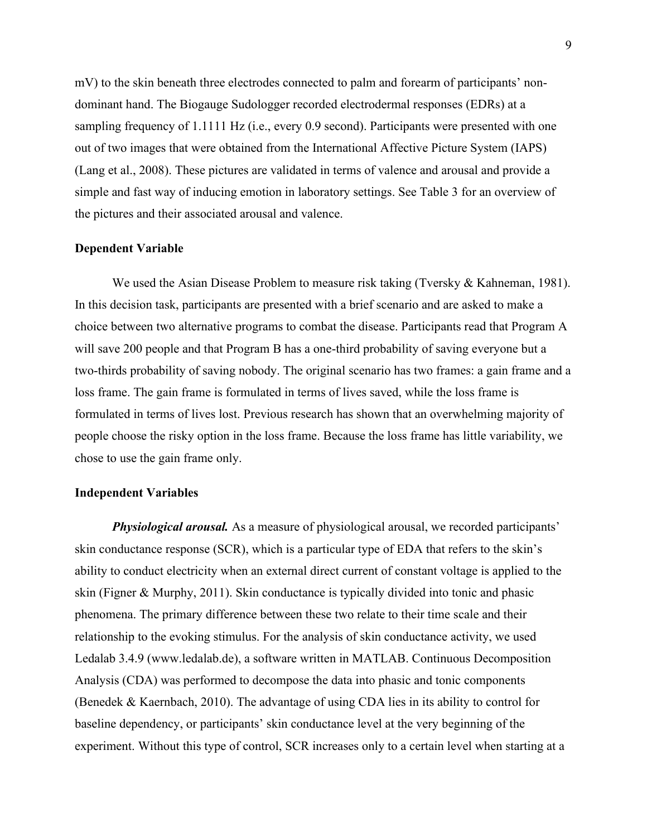mV) to the skin beneath three electrodes connected to palm and forearm of participants' nondominant hand. The Biogauge Sudologger recorded electrodermal responses (EDRs) at a sampling frequency of 1.1111 Hz (i.e., every 0.9 second). Participants were presented with one out of two images that were obtained from the International Affective Picture System (IAPS) (Lang et al., 2008). These pictures are validated in terms of valence and arousal and provide a simple and fast way of inducing emotion in laboratory settings. See Table 3 for an overview of the pictures and their associated arousal and valence.

#### **Dependent Variable**

We used the Asian Disease Problem to measure risk taking (Tversky & Kahneman, 1981). In this decision task, participants are presented with a brief scenario and are asked to make a choice between two alternative programs to combat the disease. Participants read that Program A will save 200 people and that Program B has a one-third probability of saving everyone but a two-thirds probability of saving nobody. The original scenario has two frames: a gain frame and a loss frame. The gain frame is formulated in terms of lives saved, while the loss frame is formulated in terms of lives lost. Previous research has shown that an overwhelming majority of people choose the risky option in the loss frame. Because the loss frame has little variability, we chose to use the gain frame only.

#### **Independent Variables**

*Physiological arousal.* As a measure of physiological arousal, we recorded participants' skin conductance response (SCR), which is a particular type of EDA that refers to the skin's ability to conduct electricity when an external direct current of constant voltage is applied to the skin (Figner & Murphy, 2011). Skin conductance is typically divided into tonic and phasic phenomena. The primary difference between these two relate to their time scale and their relationship to the evoking stimulus. For the analysis of skin conductance activity, we used Ledalab 3.4.9 (www.ledalab.de), a software written in MATLAB. Continuous Decomposition Analysis (CDA) was performed to decompose the data into phasic and tonic components (Benedek & Kaernbach, 2010). The advantage of using CDA lies in its ability to control for baseline dependency, or participants' skin conductance level at the very beginning of the experiment. Without this type of control, SCR increases only to a certain level when starting at a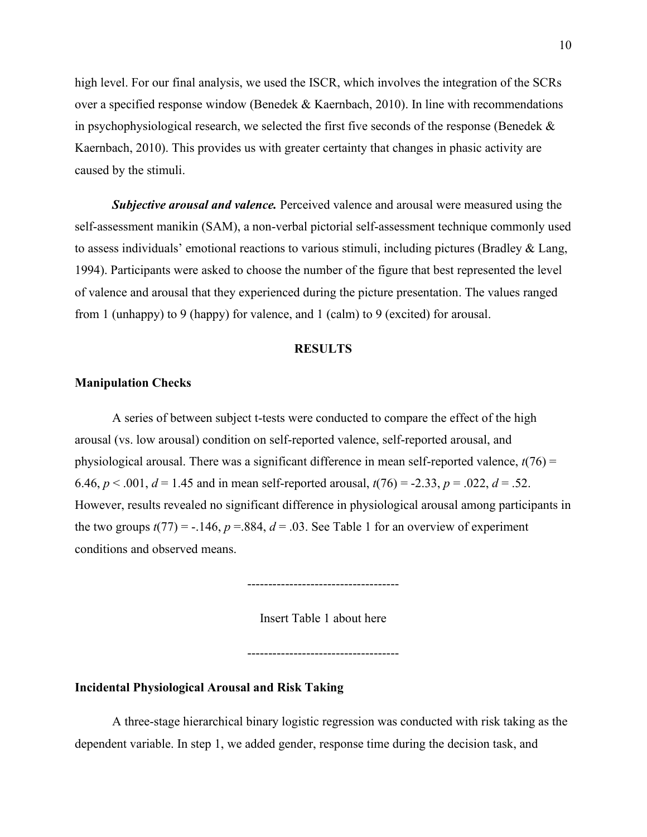high level. For our final analysis, we used the ISCR, which involves the integration of the SCRs over a specified response window (Benedek & Kaernbach, 2010). In line with recommendations in psychophysiological research, we selected the first five seconds of the response (Benedek  $\&$ Kaernbach, 2010). This provides us with greater certainty that changes in phasic activity are caused by the stimuli.

*Subjective arousal and valence.* Perceived valence and arousal were measured using the self-assessment manikin (SAM), a non-verbal pictorial self-assessment technique commonly used to assess individuals' emotional reactions to various stimuli, including pictures (Bradley & Lang, 1994). Participants were asked to choose the number of the figure that best represented the level of valence and arousal that they experienced during the picture presentation. The values ranged from 1 (unhappy) to 9 (happy) for valence, and 1 (calm) to 9 (excited) for arousal.

#### **RESULTS**

#### **Manipulation Checks**

A series of between subject t-tests were conducted to compare the effect of the high arousal (vs. low arousal) condition on self-reported valence, self-reported arousal, and physiological arousal. There was a significant difference in mean self-reported valence, *t*(76) = 6.46,  $p < .001$ ,  $d = 1.45$  and in mean self-reported arousal,  $t(76) = -2.33$ ,  $p = .022$ ,  $d = .52$ . However, results revealed no significant difference in physiological arousal among participants in the two groups  $t(77) = -0.146$ ,  $p = 0.884$ ,  $d = 0.03$ . See Table 1 for an overview of experiment conditions and observed means.

------------------------------------

Insert Table 1 about here

------------------------------------

## **Incidental Physiological Arousal and Risk Taking**

A three-stage hierarchical binary logistic regression was conducted with risk taking as the dependent variable. In step 1, we added gender, response time during the decision task, and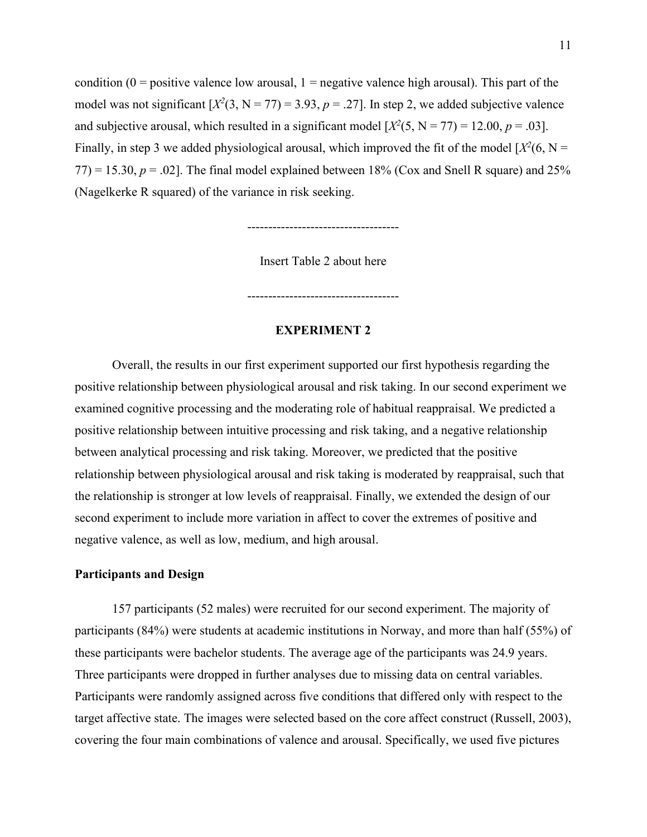condition ( $0 =$  positive valence low arousal,  $1 =$  negative valence high arousal). This part of the model was not significant  $[X^2(3, N = 77) = 3.93, p = .27]$ . In step 2, we added subjective valence and subjective arousal, which resulted in a significant model  $[X^2(5, N = 77) = 12.00, p = .03]$ . Finally, in step 3 we added physiological arousal, which improved the fit of the model  $[X^2(6, N =$  $77$ ) = 15.30,  $p = .02$ ]. The final model explained between 18% (Cox and Snell R square) and 25% (Nagelkerke R squared) of the variance in risk seeking.

------------------------------------

Insert Table 2 about here

------------------------------------

#### **EXPERIMENT 2**

Overall, the results in our first experiment supported our first hypothesis regarding the positive relationship between physiological arousal and risk taking. In our second experiment we examined cognitive processing and the moderating role of habitual reappraisal. We predicted a positive relationship between intuitive processing and risk taking, and a negative relationship between analytical processing and risk taking. Moreover, we predicted that the positive relationship between physiological arousal and risk taking is moderated by reappraisal, such that the relationship is stronger at low levels of reappraisal. Finally, we extended the design of our second experiment to include more variation in affect to cover the extremes of positive and negative valence, as well as low, medium, and high arousal.

#### **Participants and Design**

157 participants (52 males) were recruited for our second experiment. The majority of participants (84%) were students at academic institutions in Norway, and more than half (55%) of these participants were bachelor students. The average age of the participants was 24.9 years. Three participants were dropped in further analyses due to missing data on central variables. Participants were randomly assigned across five conditions that differed only with respect to the target affective state. The images were selected based on the core affect construct (Russell, 2003), covering the four main combinations of valence and arousal. Specifically, we used five pictures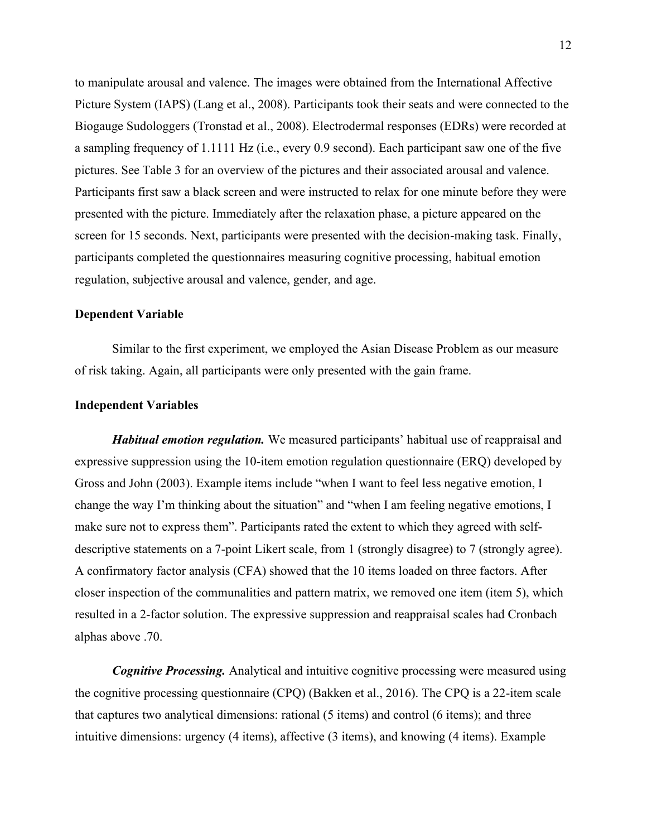to manipulate arousal and valence. The images were obtained from the International Affective Picture System (IAPS) (Lang et al., 2008). Participants took their seats and were connected to the Biogauge Sudologgers (Tronstad et al., 2008). Electrodermal responses (EDRs) were recorded at a sampling frequency of 1.1111 Hz (i.e., every 0.9 second). Each participant saw one of the five pictures. See Table 3 for an overview of the pictures and their associated arousal and valence. Participants first saw a black screen and were instructed to relax for one minute before they were presented with the picture. Immediately after the relaxation phase, a picture appeared on the screen for 15 seconds. Next, participants were presented with the decision-making task. Finally, participants completed the questionnaires measuring cognitive processing, habitual emotion regulation, subjective arousal and valence, gender, and age.

## **Dependent Variable**

Similar to the first experiment, we employed the Asian Disease Problem as our measure of risk taking. Again, all participants were only presented with the gain frame.

#### **Independent Variables**

*Habitual emotion regulation.* We measured participants' habitual use of reappraisal and expressive suppression using the 10-item emotion regulation questionnaire (ERQ) developed by Gross and John (2003). Example items include "when I want to feel less negative emotion, I change the way I'm thinking about the situation" and "when I am feeling negative emotions, I make sure not to express them". Participants rated the extent to which they agreed with selfdescriptive statements on a 7-point Likert scale, from 1 (strongly disagree) to 7 (strongly agree). A confirmatory factor analysis (CFA) showed that the 10 items loaded on three factors. After closer inspection of the communalities and pattern matrix, we removed one item (item 5), which resulted in a 2-factor solution. The expressive suppression and reappraisal scales had Cronbach alphas above .70.

*Cognitive Processing.* Analytical and intuitive cognitive processing were measured using the cognitive processing questionnaire (CPQ) (Bakken et al., 2016). The CPQ is a 22-item scale that captures two analytical dimensions: rational (5 items) and control (6 items); and three intuitive dimensions: urgency (4 items), affective (3 items), and knowing (4 items). Example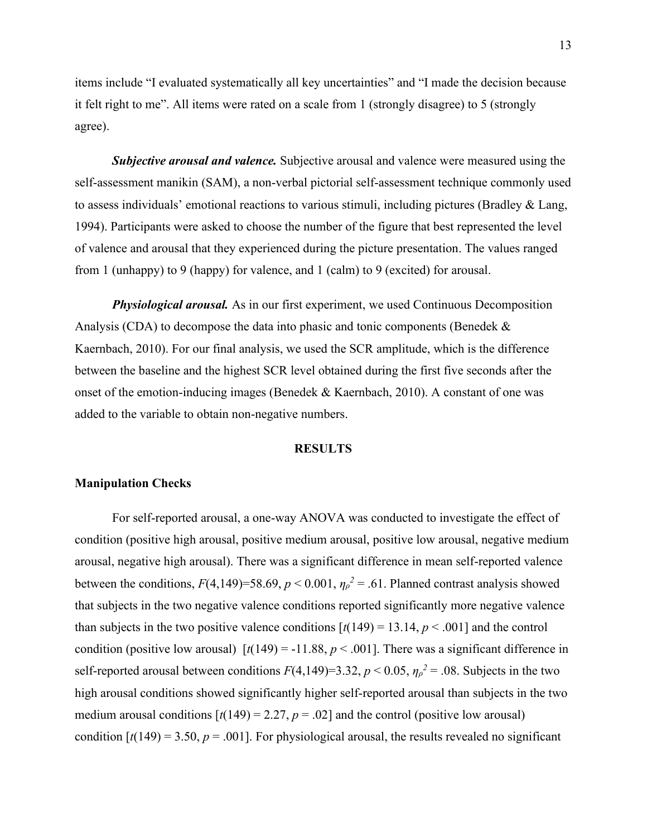items include "I evaluated systematically all key uncertainties" and "I made the decision because it felt right to me". All items were rated on a scale from 1 (strongly disagree) to 5 (strongly agree).

*Subjective arousal and valence.* Subjective arousal and valence were measured using the self-assessment manikin (SAM), a non-verbal pictorial self-assessment technique commonly used to assess individuals' emotional reactions to various stimuli, including pictures (Bradley & Lang, 1994). Participants were asked to choose the number of the figure that best represented the level of valence and arousal that they experienced during the picture presentation. The values ranged from 1 (unhappy) to 9 (happy) for valence, and 1 (calm) to 9 (excited) for arousal.

*Physiological arousal.* As in our first experiment, we used Continuous Decomposition Analysis (CDA) to decompose the data into phasic and tonic components (Benedek  $\&$ Kaernbach, 2010). For our final analysis, we used the SCR amplitude, which is the difference between the baseline and the highest SCR level obtained during the first five seconds after the onset of the emotion-inducing images (Benedek & Kaernbach, 2010). A constant of one was added to the variable to obtain non-negative numbers.

#### **RESULTS**

#### **Manipulation Checks**

For self-reported arousal, a one-way ANOVA was conducted to investigate the effect of condition (positive high arousal, positive medium arousal, positive low arousal, negative medium arousal, negative high arousal). There was a significant difference in mean self-reported valence between the conditions,  $F(4,149)=58.69$ ,  $p < 0.001$ ,  $\eta_p^2 = .61$ . Planned contrast analysis showed that subjects in the two negative valence conditions reported significantly more negative valence than subjects in the two positive valence conditions  $\left[t(149) = 13.14, p < .001\right]$  and the control condition (positive low arousal)  $[t(149) = -11.88, p < .001]$ . There was a significant difference in self-reported arousal between conditions  $F(4,149)=3.32$ ,  $p < 0.05$ ,  $\eta_{p}^{2} = .08$ . Subjects in the two high arousal conditions showed significantly higher self-reported arousal than subjects in the two medium arousal conditions  $[t(149) = 2.27, p = .02]$  and the control (positive low arousal) condition  $[t(149) = 3.50, p = .001]$ . For physiological arousal, the results revealed no significant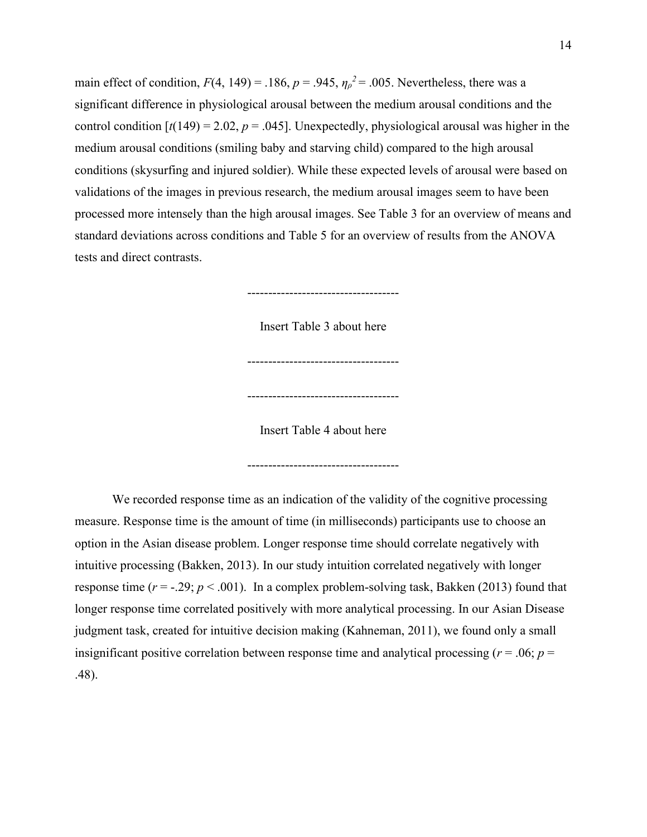main effect of condition,  $F(4, 149) = .186$ ,  $p = .945$ ,  $\eta_p^2 = .005$ . Nevertheless, there was a significant difference in physiological arousal between the medium arousal conditions and the control condition  $[t(149) = 2.02, p = .045]$ . Unexpectedly, physiological arousal was higher in the medium arousal conditions (smiling baby and starving child) compared to the high arousal conditions (skysurfing and injured soldier). While these expected levels of arousal were based on validations of the images in previous research, the medium arousal images seem to have been processed more intensely than the high arousal images. See Table 3 for an overview of means and standard deviations across conditions and Table 5 for an overview of results from the ANOVA tests and direct contrasts.

------------------------------------

Insert Table 3 about here

------------------------------------

Insert Table 4 about here

------------------------------------

------------------------------------

We recorded response time as an indication of the validity of the cognitive processing measure. Response time is the amount of time (in milliseconds) participants use to choose an option in the Asian disease problem. Longer response time should correlate negatively with intuitive processing (Bakken, 2013). In our study intuition correlated negatively with longer response time  $(r = -.29; p < .001)$ . In a complex problem-solving task, Bakken (2013) found that longer response time correlated positively with more analytical processing. In our Asian Disease judgment task, created for intuitive decision making (Kahneman, 2011), we found only a small insignificant positive correlation between response time and analytical processing ( $r = .06$ ;  $p =$ .48).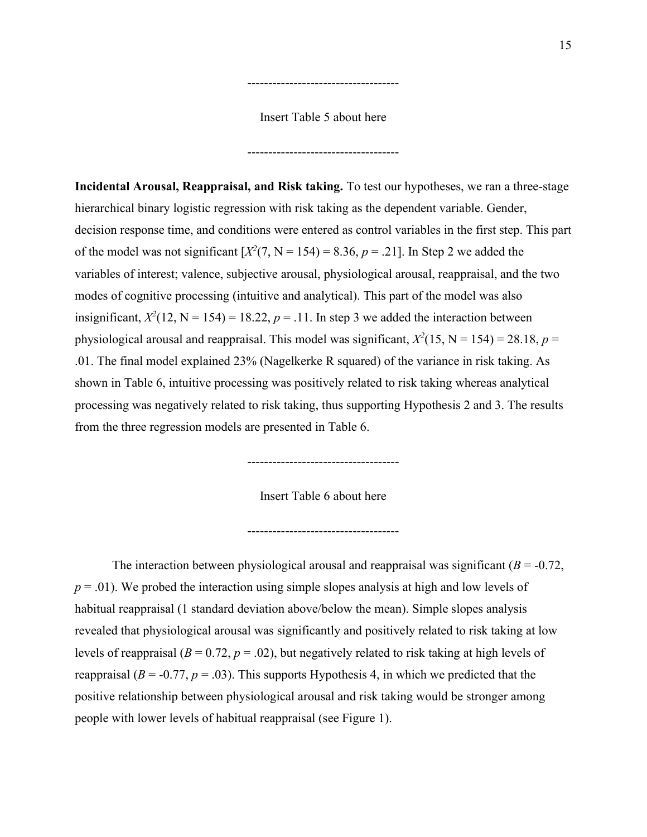Insert Table 5 about here

------------------------------------

------------------------------------

**Incidental Arousal, Reappraisal, and Risk taking.** To test our hypotheses, we ran a three-stage hierarchical binary logistic regression with risk taking as the dependent variable. Gender, decision response time, and conditions were entered as control variables in the first step. This part of the model was not significant  $[X^2(7, N = 154) = 8.36, p = .21]$ . In Step 2 we added the variables of interest; valence, subjective arousal, physiological arousal, reappraisal, and the two modes of cognitive processing (intuitive and analytical). This part of the model was also insignificant,  $X^2(12, N = 154) = 18.22, p = .11$ . In step 3 we added the interaction between physiological arousal and reappraisal. This model was significant,  $X^2(15, N = 154) = 28.18$ ,  $p =$ .01. The final model explained 23% (Nagelkerke R squared) of the variance in risk taking. As shown in Table 6, intuitive processing was positively related to risk taking whereas analytical processing was negatively related to risk taking, thus supporting Hypothesis 2 and 3. The results from the three regression models are presented in Table 6.

Insert Table 6 about here

------------------------------------

------------------------------------

The interaction between physiological arousal and reappraisal was significant  $(B = -0.72$ , *p* = .01). We probed the interaction using simple slopes analysis at high and low levels of habitual reappraisal (1 standard deviation above/below the mean). Simple slopes analysis revealed that physiological arousal was significantly and positively related to risk taking at low levels of reappraisal  $(B = 0.72, p = .02)$ , but negatively related to risk taking at high levels of reappraisal ( $B = -0.77$ ,  $p = .03$ ). This supports Hypothesis 4, in which we predicted that the positive relationship between physiological arousal and risk taking would be stronger among people with lower levels of habitual reappraisal (see Figure 1).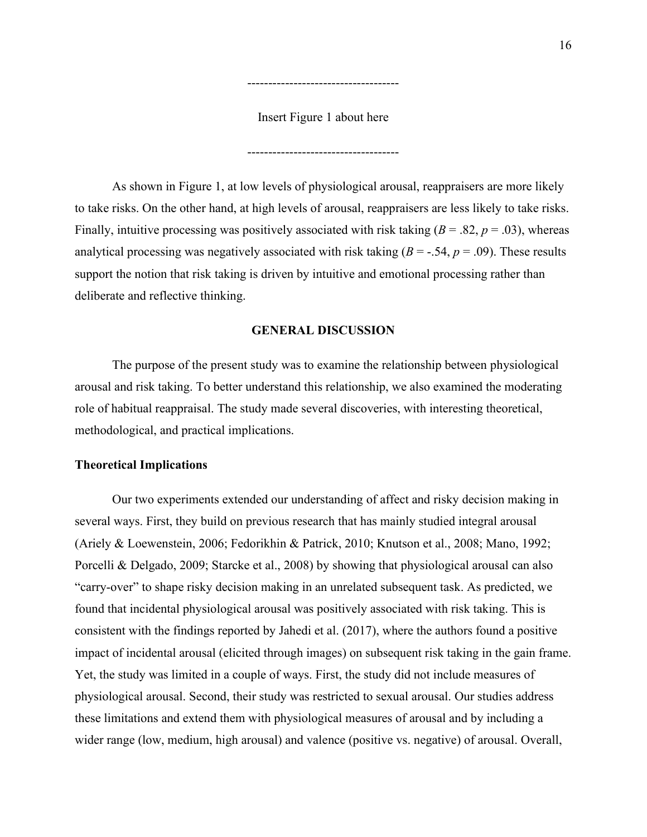Insert Figure 1 about here

------------------------------------

------------------------------------

As shown in Figure 1, at low levels of physiological arousal, reappraisers are more likely to take risks. On the other hand, at high levels of arousal, reappraisers are less likely to take risks. Finally, intuitive processing was positively associated with risk taking  $(B = .82, p = .03)$ , whereas analytical processing was negatively associated with risk taking  $(B = -.54, p = .09)$ . These results support the notion that risk taking is driven by intuitive and emotional processing rather than deliberate and reflective thinking.

#### **GENERAL DISCUSSION**

The purpose of the present study was to examine the relationship between physiological arousal and risk taking. To better understand this relationship, we also examined the moderating role of habitual reappraisal. The study made several discoveries, with interesting theoretical, methodological, and practical implications.

#### **Theoretical Implications**

Our two experiments extended our understanding of affect and risky decision making in several ways. First, they build on previous research that has mainly studied integral arousal (Ariely & Loewenstein, 2006; Fedorikhin & Patrick, 2010; Knutson et al., 2008; Mano, 1992; Porcelli & Delgado, 2009; Starcke et al., 2008) by showing that physiological arousal can also "carry-over" to shape risky decision making in an unrelated subsequent task. As predicted, we found that incidental physiological arousal was positively associated with risk taking. This is consistent with the findings reported by Jahedi et al. (2017), where the authors found a positive impact of incidental arousal (elicited through images) on subsequent risk taking in the gain frame. Yet, the study was limited in a couple of ways. First, the study did not include measures of physiological arousal. Second, their study was restricted to sexual arousal. Our studies address these limitations and extend them with physiological measures of arousal and by including a wider range (low, medium, high arousal) and valence (positive vs. negative) of arousal. Overall,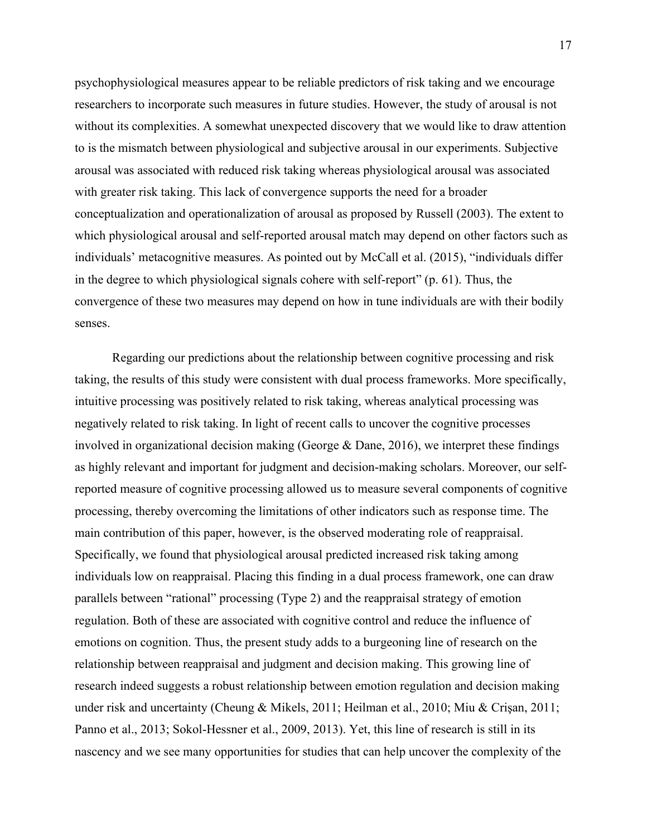psychophysiological measures appear to be reliable predictors of risk taking and we encourage researchers to incorporate such measures in future studies. However, the study of arousal is not without its complexities. A somewhat unexpected discovery that we would like to draw attention to is the mismatch between physiological and subjective arousal in our experiments. Subjective arousal was associated with reduced risk taking whereas physiological arousal was associated with greater risk taking. This lack of convergence supports the need for a broader conceptualization and operationalization of arousal as proposed by Russell (2003). The extent to which physiological arousal and self-reported arousal match may depend on other factors such as individuals' metacognitive measures. As pointed out by McCall et al. (2015), "individuals differ in the degree to which physiological signals cohere with self-report" (p. 61). Thus, the convergence of these two measures may depend on how in tune individuals are with their bodily senses.

Regarding our predictions about the relationship between cognitive processing and risk taking, the results of this study were consistent with dual process frameworks. More specifically, intuitive processing was positively related to risk taking, whereas analytical processing was negatively related to risk taking. In light of recent calls to uncover the cognitive processes involved in organizational decision making (George & Dane, 2016), we interpret these findings as highly relevant and important for judgment and decision-making scholars. Moreover, our selfreported measure of cognitive processing allowed us to measure several components of cognitive processing, thereby overcoming the limitations of other indicators such as response time. The main contribution of this paper, however, is the observed moderating role of reappraisal. Specifically, we found that physiological arousal predicted increased risk taking among individuals low on reappraisal. Placing this finding in a dual process framework, one can draw parallels between "rational" processing (Type 2) and the reappraisal strategy of emotion regulation. Both of these are associated with cognitive control and reduce the influence of emotions on cognition. Thus, the present study adds to a burgeoning line of research on the relationship between reappraisal and judgment and decision making. This growing line of research indeed suggests a robust relationship between emotion regulation and decision making under risk and uncertainty (Cheung & Mikels, 2011; Heilman et al., 2010; Miu & Crişan, 2011; Panno et al., 2013; Sokol-Hessner et al., 2009, 2013). Yet, this line of research is still in its nascency and we see many opportunities for studies that can help uncover the complexity of the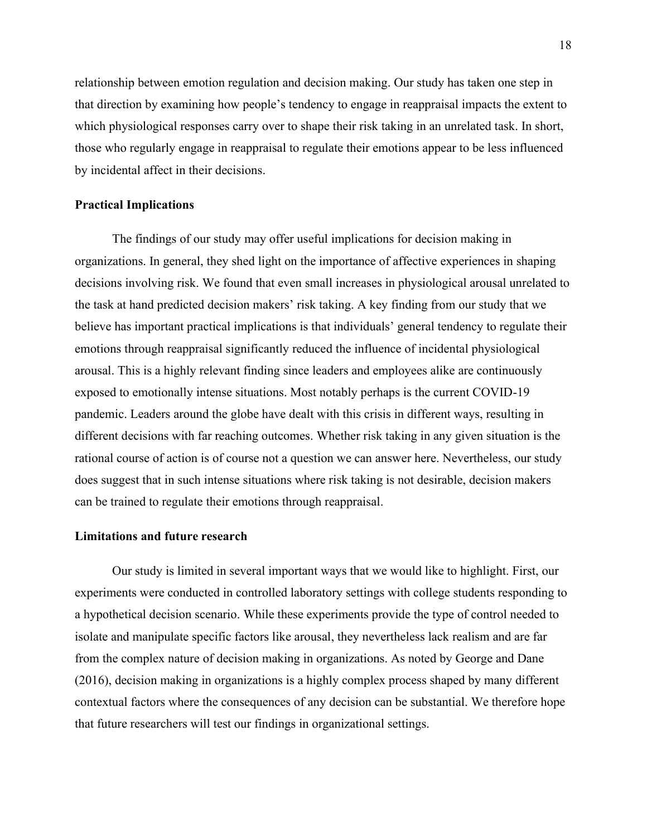relationship between emotion regulation and decision making. Our study has taken one step in that direction by examining how people's tendency to engage in reappraisal impacts the extent to which physiological responses carry over to shape their risk taking in an unrelated task. In short, those who regularly engage in reappraisal to regulate their emotions appear to be less influenced by incidental affect in their decisions.

#### **Practical Implications**

The findings of our study may offer useful implications for decision making in organizations. In general, they shed light on the importance of affective experiences in shaping decisions involving risk. We found that even small increases in physiological arousal unrelated to the task at hand predicted decision makers' risk taking. A key finding from our study that we believe has important practical implications is that individuals' general tendency to regulate their emotions through reappraisal significantly reduced the influence of incidental physiological arousal. This is a highly relevant finding since leaders and employees alike are continuously exposed to emotionally intense situations. Most notably perhaps is the current COVID-19 pandemic. Leaders around the globe have dealt with this crisis in different ways, resulting in different decisions with far reaching outcomes. Whether risk taking in any given situation is the rational course of action is of course not a question we can answer here. Nevertheless, our study does suggest that in such intense situations where risk taking is not desirable, decision makers can be trained to regulate their emotions through reappraisal.

#### **Limitations and future research**

Our study is limited in several important ways that we would like to highlight. First, our experiments were conducted in controlled laboratory settings with college students responding to a hypothetical decision scenario. While these experiments provide the type of control needed to isolate and manipulate specific factors like arousal, they nevertheless lack realism and are far from the complex nature of decision making in organizations. As noted by George and Dane (2016), decision making in organizations is a highly complex process shaped by many different contextual factors where the consequences of any decision can be substantial. We therefore hope that future researchers will test our findings in organizational settings.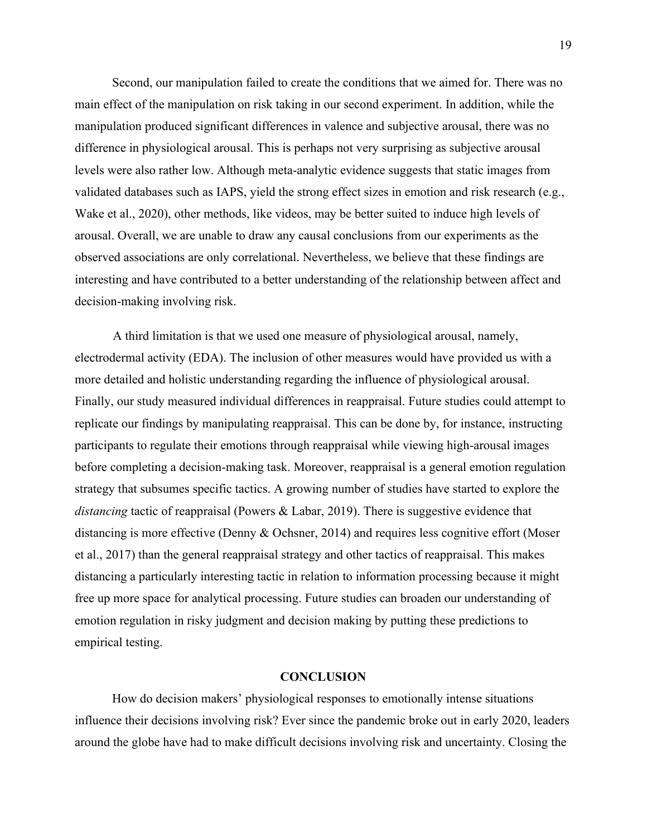Second, our manipulation failed to create the conditions that we aimed for. There was no main effect of the manipulation on risk taking in our second experiment. In addition, while the manipulation produced significant differences in valence and subjective arousal, there was no difference in physiological arousal. This is perhaps not very surprising as subjective arousal levels were also rather low. Although meta-analytic evidence suggests that static images from validated databases such as IAPS, yield the strong effect sizes in emotion and risk research (e.g., Wake et al., 2020), other methods, like videos, may be better suited to induce high levels of arousal. Overall, we are unable to draw any causal conclusions from our experiments as the observed associations are only correlational. Nevertheless, we believe that these findings are interesting and have contributed to a better understanding of the relationship between affect and decision-making involving risk.

A third limitation is that we used one measure of physiological arousal, namely, electrodermal activity (EDA). The inclusion of other measures would have provided us with a more detailed and holistic understanding regarding the influence of physiological arousal. Finally, our study measured individual differences in reappraisal. Future studies could attempt to replicate our findings by manipulating reappraisal. This can be done by, for instance, instructing participants to regulate their emotions through reappraisal while viewing high-arousal images before completing a decision-making task. Moreover, reappraisal is a general emotion regulation strategy that subsumes specific tactics. A growing number of studies have started to explore the *distancing* tactic of reappraisal (Powers & Labar, 2019). There is suggestive evidence that distancing is more effective (Denny & Ochsner, 2014) and requires less cognitive effort (Moser et al., 2017) than the general reappraisal strategy and other tactics of reappraisal. This makes distancing a particularly interesting tactic in relation to information processing because it might free up more space for analytical processing. Future studies can broaden our understanding of emotion regulation in risky judgment and decision making by putting these predictions to empirical testing.

#### **CONCLUSION**

How do decision makers' physiological responses to emotionally intense situations influence their decisions involving risk? Ever since the pandemic broke out in early 2020, leaders around the globe have had to make difficult decisions involving risk and uncertainty. Closing the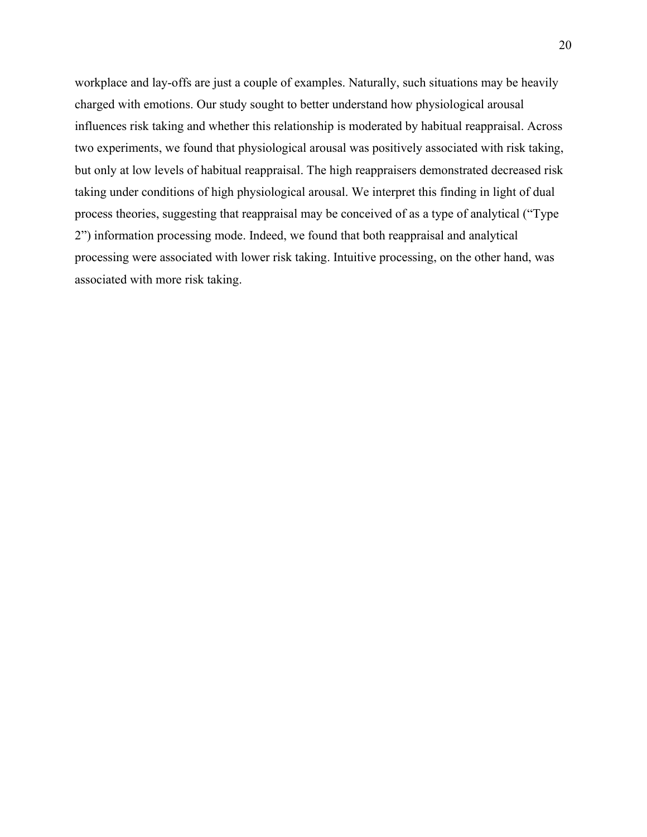workplace and lay-offs are just a couple of examples. Naturally, such situations may be heavily charged with emotions. Our study sought to better understand how physiological arousal influences risk taking and whether this relationship is moderated by habitual reappraisal. Across two experiments, we found that physiological arousal was positively associated with risk taking, but only at low levels of habitual reappraisal. The high reappraisers demonstrated decreased risk taking under conditions of high physiological arousal. We interpret this finding in light of dual process theories, suggesting that reappraisal may be conceived of as a type of analytical ("Type 2") information processing mode. Indeed, we found that both reappraisal and analytical processing were associated with lower risk taking. Intuitive processing, on the other hand, was associated with more risk taking.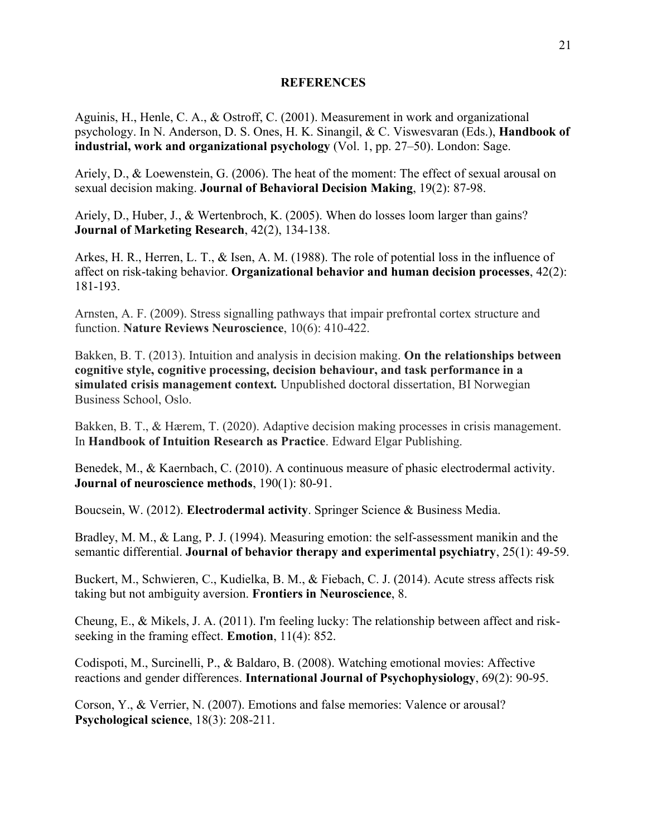#### **REFERENCES**

Aguinis, H., Henle, C. A., & Ostroff, C. (2001). Measurement in work and organizational psychology. In N. Anderson, D. S. Ones, H. K. Sinangil, & C. Viswesvaran (Eds.), **Handbook of industrial, work and organizational psychology** (Vol. 1, pp. 27–50). London: Sage.

Ariely, D., & Loewenstein, G. (2006). The heat of the moment: The effect of sexual arousal on sexual decision making. **Journal of Behavioral Decision Making**, 19(2): 87-98.

Ariely, D., Huber, J., & Wertenbroch, K. (2005). When do losses loom larger than gains? **Journal of Marketing Research**, 42(2), 134-138.

Arkes, H. R., Herren, L. T., & Isen, A. M. (1988). The role of potential loss in the influence of affect on risk-taking behavior. **Organizational behavior and human decision processes**, 42(2): 181-193.

Arnsten, A. F. (2009). Stress signalling pathways that impair prefrontal cortex structure and function. **Nature Reviews Neuroscience**, 10(6): 410-422.

Bakken, B. T. (2013). Intuition and analysis in decision making. **On the relationships between cognitive style, cognitive processing, decision behaviour, and task performance in a simulated crisis management context***.* Unpublished doctoral dissertation, BI Norwegian Business School, Oslo.

Bakken, B. T., & Hærem, T. (2020). Adaptive decision making processes in crisis management. In **Handbook of Intuition Research as Practice**. Edward Elgar Publishing.

Benedek, M., & Kaernbach, C. (2010). A continuous measure of phasic electrodermal activity. **Journal of neuroscience methods**, 190(1): 80-91.

Boucsein, W. (2012). **Electrodermal activity**. Springer Science & Business Media.

Bradley, M. M., & Lang, P. J. (1994). Measuring emotion: the self-assessment manikin and the semantic differential. **Journal of behavior therapy and experimental psychiatry**, 25(1): 49-59.

Buckert, M., Schwieren, C., Kudielka, B. M., & Fiebach, C. J. (2014). Acute stress affects risk taking but not ambiguity aversion. **Frontiers in Neuroscience**, 8.

Cheung, E., & Mikels, J. A. (2011). I'm feeling lucky: The relationship between affect and riskseeking in the framing effect. **Emotion**, 11(4): 852.

Codispoti, M., Surcinelli, P., & Baldaro, B. (2008). Watching emotional movies: Affective reactions and gender differences. **International Journal of Psychophysiology**, 69(2): 90-95.

Corson, Y., & Verrier, N. (2007). Emotions and false memories: Valence or arousal? **Psychological science**, 18(3): 208-211.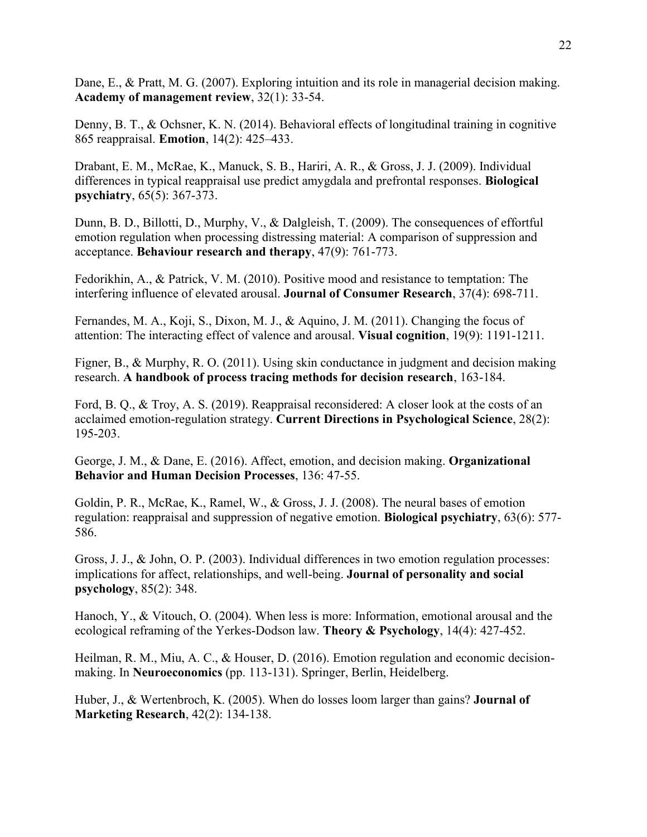Dane, E., & Pratt, M. G. (2007). Exploring intuition and its role in managerial decision making. **Academy of management review**, 32(1): 33-54.

Denny, B. T., & Ochsner, K. N. (2014). Behavioral effects of longitudinal training in cognitive 865 reappraisal. **Emotion**, 14(2): 425–433.

Drabant, E. M., McRae, K., Manuck, S. B., Hariri, A. R., & Gross, J. J. (2009). Individual differences in typical reappraisal use predict amygdala and prefrontal responses. **Biological psychiatry**, 65(5): 367-373.

Dunn, B. D., Billotti, D., Murphy, V., & Dalgleish, T. (2009). The consequences of effortful emotion regulation when processing distressing material: A comparison of suppression and acceptance. **Behaviour research and therapy**, 47(9): 761-773.

Fedorikhin, A., & Patrick, V. M. (2010). Positive mood and resistance to temptation: The interfering influence of elevated arousal. **Journal of Consumer Research**, 37(4): 698-711.

Fernandes, M. A., Koji, S., Dixon, M. J., & Aquino, J. M. (2011). Changing the focus of attention: The interacting effect of valence and arousal. **Visual cognition**, 19(9): 1191-1211.

Figner, B., & Murphy, R. O. (2011). Using skin conductance in judgment and decision making research. **A handbook of process tracing methods for decision research**, 163-184.

Ford, B. Q., & Troy, A. S. (2019). Reappraisal reconsidered: A closer look at the costs of an acclaimed emotion-regulation strategy. **Current Directions in Psychological Science**, 28(2): 195-203.

George, J. M., & Dane, E. (2016). Affect, emotion, and decision making. **Organizational Behavior and Human Decision Processes**, 136: 47-55.

Goldin, P. R., McRae, K., Ramel, W., & Gross, J. J. (2008). The neural bases of emotion regulation: reappraisal and suppression of negative emotion. **Biological psychiatry**, 63(6): 577- 586.

Gross, J. J., & John, O. P. (2003). Individual differences in two emotion regulation processes: implications for affect, relationships, and well-being. **Journal of personality and social psychology**, 85(2): 348.

Hanoch, Y., & Vitouch, O. (2004). When less is more: Information, emotional arousal and the ecological reframing of the Yerkes-Dodson law. **Theory & Psychology**, 14(4): 427-452.

Heilman, R. M., Miu, A. C., & Houser, D. (2016). Emotion regulation and economic decisionmaking. In **Neuroeconomics** (pp. 113-131). Springer, Berlin, Heidelberg.

Huber, J., & Wertenbroch, K. (2005). When do losses loom larger than gains? **Journal of Marketing Research**, 42(2): 134-138.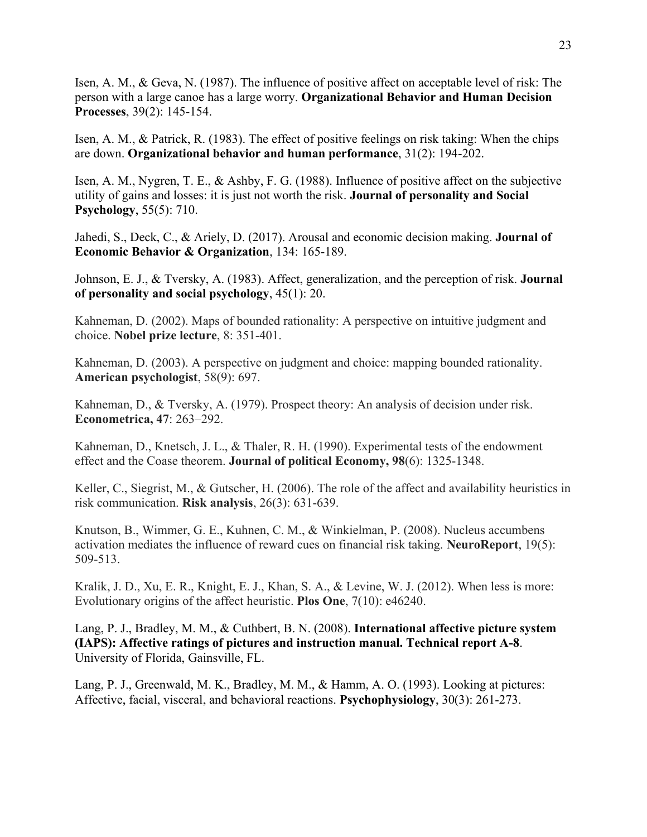Isen, A. M., & Geva, N. (1987). The influence of positive affect on acceptable level of risk: The person with a large canoe has a large worry. **Organizational Behavior and Human Decision Processes**, 39(2): 145-154.

Isen, A. M., & Patrick, R. (1983). The effect of positive feelings on risk taking: When the chips are down. **Organizational behavior and human performance**, 31(2): 194-202.

Isen, A. M., Nygren, T. E., & Ashby, F. G. (1988). Influence of positive affect on the subjective utility of gains and losses: it is just not worth the risk. **Journal of personality and Social Psychology**, 55(5): 710.

Jahedi, S., Deck, C., & Ariely, D. (2017). Arousal and economic decision making. **Journal of Economic Behavior & Organization**, 134: 165-189.

Johnson, E. J., & Tversky, A. (1983). Affect, generalization, and the perception of risk. **Journal of personality and social psychology**, 45(1): 20.

Kahneman, D. (2002). Maps of bounded rationality: A perspective on intuitive judgment and choice. **Nobel prize lecture**, 8: 351-401.

Kahneman, D. (2003). A perspective on judgment and choice: mapping bounded rationality. **American psychologist**, 58(9): 697.

Kahneman, D., & Tversky, A. (1979). Prospect theory: An analysis of decision under risk. **Econometrica, 47**: 263–292.

Kahneman, D., Knetsch, J. L., & Thaler, R. H. (1990). Experimental tests of the endowment effect and the Coase theorem. **Journal of political Economy, 98**(6): 1325-1348.

Keller, C., Siegrist, M., & Gutscher, H. (2006). The role of the affect and availability heuristics in risk communication. **Risk analysis**, 26(3): 631-639.

Knutson, B., Wimmer, G. E., Kuhnen, C. M., & Winkielman, P. (2008). Nucleus accumbens activation mediates the influence of reward cues on financial risk taking. **NeuroReport**, 19(5): 509-513.

Kralik, J. D., Xu, E. R., Knight, E. J., Khan, S. A., & Levine, W. J. (2012). When less is more: Evolutionary origins of the affect heuristic. **Plos One**, 7(10): e46240.

Lang, P. J., Bradley, M. M., & Cuthbert, B. N. (2008). **International affective picture system (IAPS): Affective ratings of pictures and instruction manual. Technical report A-8**. University of Florida, Gainsville, FL.

Lang, P. J., Greenwald, M. K., Bradley, M. M., & Hamm, A. O. (1993). Looking at pictures: Affective, facial, visceral, and behavioral reactions. **Psychophysiology**, 30(3): 261-273.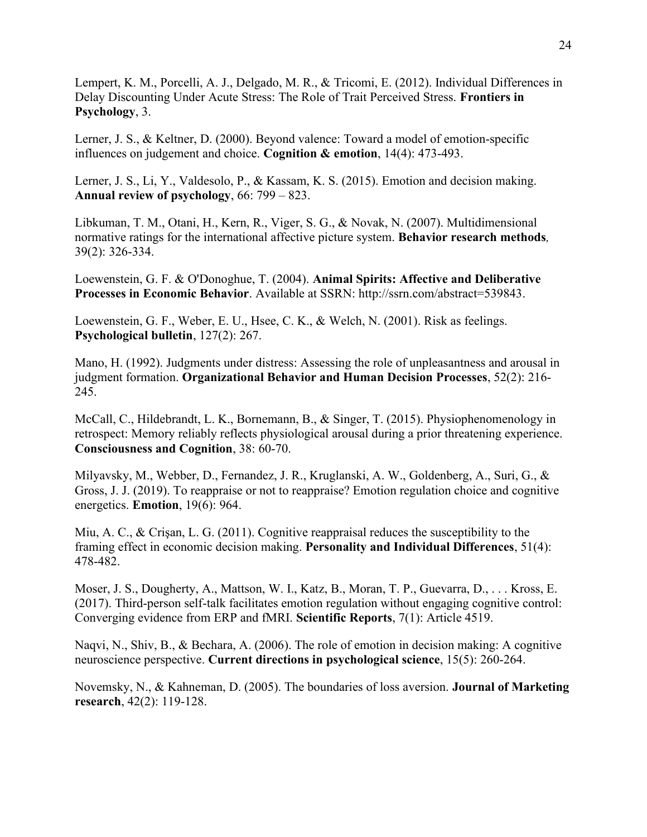Lempert, K. M., Porcelli, A. J., Delgado, M. R., & Tricomi, E. (2012). Individual Differences in Delay Discounting Under Acute Stress: The Role of Trait Perceived Stress. **Frontiers in Psychology**, 3.

Lerner, J. S., & Keltner, D. (2000). Beyond valence: Toward a model of emotion-specific influences on judgement and choice. **Cognition & emotion**, 14(4): 473-493.

Lerner, J. S., Li, Y., Valdesolo, P., & Kassam, K. S. (2015). Emotion and decision making. **Annual review of psychology**, 66: 799 – 823.

Libkuman, T. M., Otani, H., Kern, R., Viger, S. G., & Novak, N. (2007). Multidimensional normative ratings for the international affective picture system. **Behavior research methods***,*  39(2): 326-334.

Loewenstein, G. F. & O'Donoghue, T. (2004). **Animal Spirits: Affective and Deliberative Processes in Economic Behavior**. Available at SSRN: http://ssrn.com/abstract=539843.

Loewenstein, G. F., Weber, E. U., Hsee, C. K., & Welch, N. (2001). Risk as feelings. **Psychological bulletin**, 127(2): 267.

Mano, H. (1992). Judgments under distress: Assessing the role of unpleasantness and arousal in judgment formation. **Organizational Behavior and Human Decision Processes**, 52(2): 216- 245.

McCall, C., Hildebrandt, L. K., Bornemann, B., & Singer, T. (2015). Physiophenomenology in retrospect: Memory reliably reflects physiological arousal during a prior threatening experience. **Consciousness and Cognition**, 38: 60-70.

Milyavsky, M., Webber, D., Fernandez, J. R., Kruglanski, A. W., Goldenberg, A., Suri, G., & Gross, J. J. (2019). To reappraise or not to reappraise? Emotion regulation choice and cognitive energetics. **Emotion**, 19(6): 964.

Miu, A. C., & Crişan, L. G. (2011). Cognitive reappraisal reduces the susceptibility to the framing effect in economic decision making. **Personality and Individual Differences**, 51(4): 478-482.

Moser, J. S., Dougherty, A., Mattson, W. I., Katz, B., Moran, T. P., Guevarra, D., . . . Kross, E. (2017). Third-person self-talk facilitates emotion regulation without engaging cognitive control: Converging evidence from ERP and fMRI. **Scientific Reports**, 7(1): Article 4519.

Naqvi, N., Shiv, B., & Bechara, A. (2006). The role of emotion in decision making: A cognitive neuroscience perspective. **Current directions in psychological science**, 15(5): 260-264.

Novemsky, N., & Kahneman, D. (2005). The boundaries of loss aversion. **Journal of Marketing research**, 42(2): 119-128.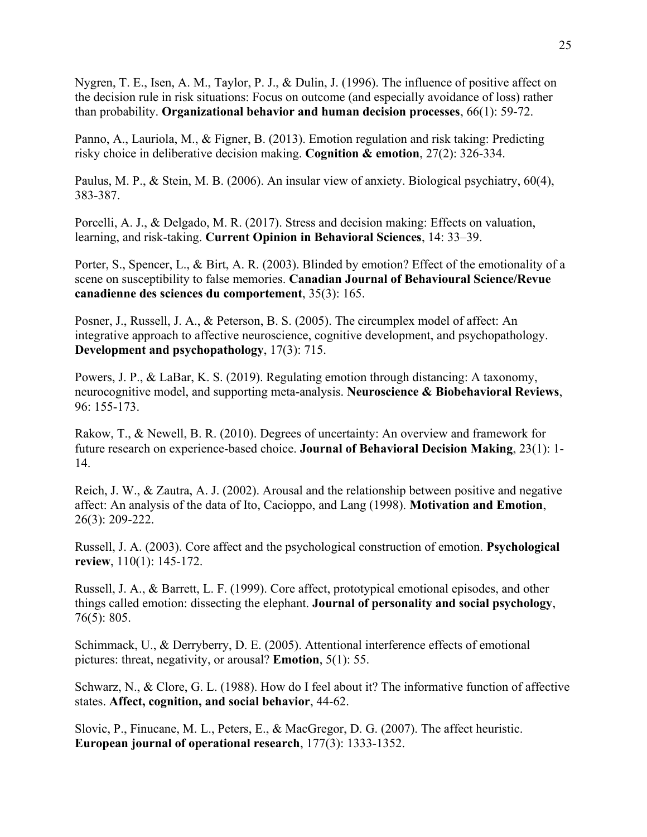Nygren, T. E., Isen, A. M., Taylor, P. J., & Dulin, J. (1996). The influence of positive affect on the decision rule in risk situations: Focus on outcome (and especially avoidance of loss) rather than probability. **Organizational behavior and human decision processes**, 66(1): 59-72.

Panno, A., Lauriola, M., & Figner, B. (2013). Emotion regulation and risk taking: Predicting risky choice in deliberative decision making. **Cognition & emotion**, 27(2): 326-334.

Paulus, M. P., & Stein, M. B. (2006). An insular view of anxiety. Biological psychiatry, 60(4), 383-387.

Porcelli, A. J., & Delgado, M. R. (2017). Stress and decision making: Effects on valuation, learning, and risk-taking. **Current Opinion in Behavioral Sciences**, 14: 33–39.

Porter, S., Spencer, L., & Birt, A. R. (2003). Blinded by emotion? Effect of the emotionality of a scene on susceptibility to false memories. **Canadian Journal of Behavioural Science/Revue canadienne des sciences du comportement**, 35(3): 165.

Posner, J., Russell, J. A., & Peterson, B. S. (2005). The circumplex model of affect: An integrative approach to affective neuroscience, cognitive development, and psychopathology. **Development and psychopathology**, 17(3): 715.

Powers, J. P., & LaBar, K. S. (2019). Regulating emotion through distancing: A taxonomy, neurocognitive model, and supporting meta-analysis. **Neuroscience & Biobehavioral Reviews**, 96: 155-173.

Rakow, T., & Newell, B. R. (2010). Degrees of uncertainty: An overview and framework for future research on experience‐based choice. **Journal of Behavioral Decision Making**, 23(1): 1- 14.

Reich, J. W., & Zautra, A. J. (2002). Arousal and the relationship between positive and negative affect: An analysis of the data of Ito, Cacioppo, and Lang (1998). **Motivation and Emotion**, 26(3): 209-222.

Russell, J. A. (2003). Core affect and the psychological construction of emotion. **Psychological review**, 110(1): 145-172.

Russell, J. A., & Barrett, L. F. (1999). Core affect, prototypical emotional episodes, and other things called emotion: dissecting the elephant. **Journal of personality and social psychology**, 76(5): 805.

Schimmack, U., & Derryberry, D. E. (2005). Attentional interference effects of emotional pictures: threat, negativity, or arousal? **Emotion**, 5(1): 55.

Schwarz, N., & Clore, G. L. (1988). How do I feel about it? The informative function of affective states. **Affect, cognition, and social behavior**, 44-62.

Slovic, P., Finucane, M. L., Peters, E., & MacGregor, D. G. (2007). The affect heuristic. **European journal of operational research**, 177(3): 1333-1352.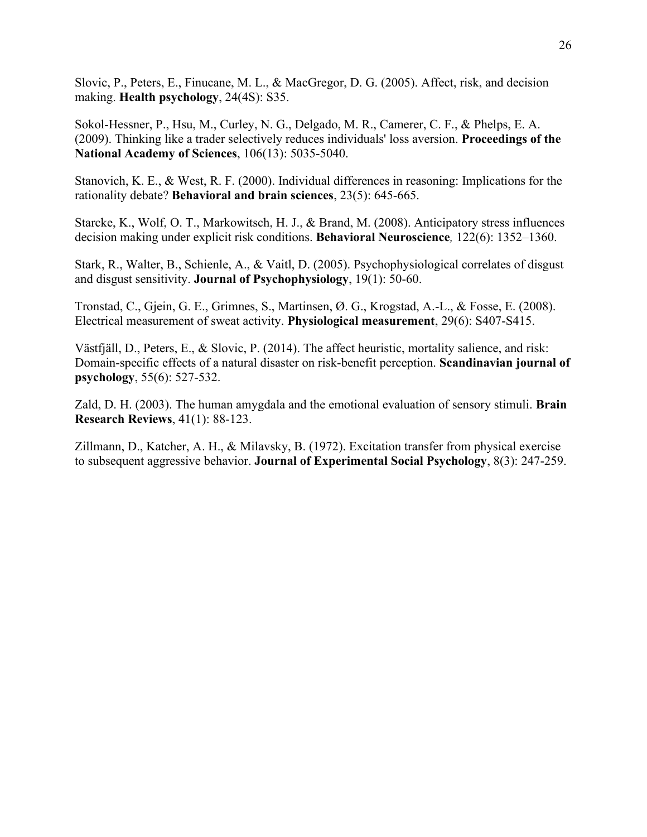Slovic, P., Peters, E., Finucane, M. L., & MacGregor, D. G. (2005). Affect, risk, and decision making. **Health psychology**, 24(4S): S35.

Sokol-Hessner, P., Hsu, M., Curley, N. G., Delgado, M. R., Camerer, C. F., & Phelps, E. A. (2009). Thinking like a trader selectively reduces individuals' loss aversion. **Proceedings of the National Academy of Sciences**, 106(13): 5035-5040.

Stanovich, K. E., & West, R. F. (2000). Individual differences in reasoning: Implications for the rationality debate? **Behavioral and brain sciences**, 23(5): 645-665.

Starcke, K., Wolf, O. T., Markowitsch, H. J., & Brand, M. (2008). Anticipatory stress influences decision making under explicit risk conditions. **Behavioral Neuroscience***,* 122(6): 1352–1360.

Stark, R., Walter, B., Schienle, A., & Vaitl, D. (2005). Psychophysiological correlates of disgust and disgust sensitivity. **Journal of Psychophysiology**, 19(1): 50-60.

Tronstad, C., Gjein, G. E., Grimnes, S., Martinsen, Ø. G., Krogstad, A.-L., & Fosse, E. (2008). Electrical measurement of sweat activity. **Physiological measurement**, 29(6): S407-S415.

Västfjäll, D., Peters, E., & Slovic, P. (2014). The affect heuristic, mortality salience, and risk: Domain‐specific effects of a natural disaster on risk‐benefit perception. **Scandinavian journal of psychology**, 55(6): 527-532.

Zald, D. H. (2003). The human amygdala and the emotional evaluation of sensory stimuli. **Brain Research Reviews**, 41(1): 88-123.

Zillmann, D., Katcher, A. H., & Milavsky, B. (1972). Excitation transfer from physical exercise to subsequent aggressive behavior. **Journal of Experimental Social Psychology**, 8(3): 247-259.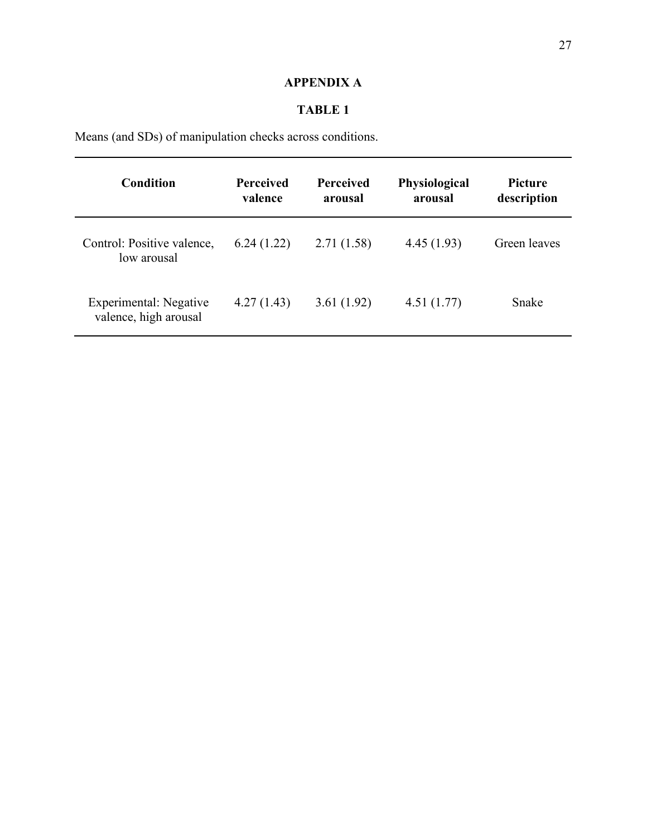# **APPENDIX A**

# **TABLE 1**

Means (and SDs) of manipulation checks across conditions.

| <b>Condition</b>                                | <b>Perceived</b><br>valence | <b>Perceived</b><br>arousal | Physiological<br>arousal | <b>Picture</b><br>description |
|-------------------------------------------------|-----------------------------|-----------------------------|--------------------------|-------------------------------|
| Control: Positive valence,<br>low arousal       | 6.24(1.22)                  | 2.71(1.58)                  | 4.45(1.93)               | Green leaves                  |
| Experimental: Negative<br>valence, high arousal | 4.27(1.43)                  | 3.61(1.92)                  | 4.51(1.77)               | Snake                         |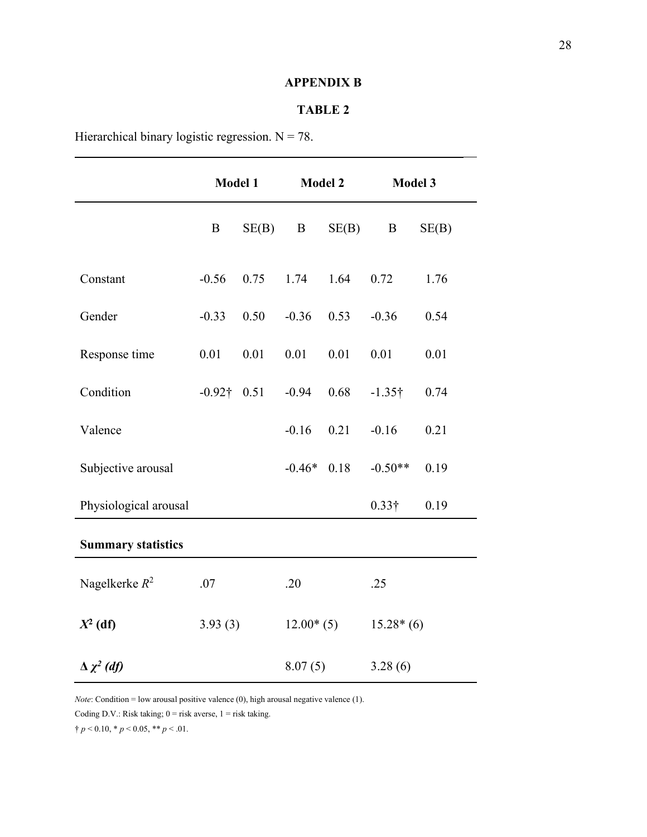## **APPENDIX B**

### **TABLE 2**

Hierarchical binary logistic regression.  $N = 78$ .

|                           | <b>Model 1</b> |       | <b>Model 2</b> |       | Model 3        |       |
|---------------------------|----------------|-------|----------------|-------|----------------|-------|
|                           | B              | SE(B) | $\bf{B}$       | SE(B) | $\mathbf{B}$   | SE(B) |
| Constant                  | $-0.56$        | 0.75  | 1.74           | 1.64  | 0.72           | 1.76  |
| Gender                    | $-0.33$        | 0.50  | $-0.36$        | 0.53  | $-0.36$        | 0.54  |
| Response time             | 0.01           | 0.01  | 0.01           | 0.01  | 0.01           | 0.01  |
| Condition                 | $-0.92$ † 0.51 |       | $-0.94$        | 0.68  | $-1.35\dagger$ | 0.74  |
| Valence                   |                |       | $-0.16$        | 0.21  | $-0.16$        | 0.21  |
| Subjective arousal        |                |       | $-0.46*$       | 0.18  | $-0.50**$      | 0.19  |
| Physiological arousal     |                |       |                |       | $0.33\dagger$  | 0.19  |
| <b>Summary statistics</b> |                |       |                |       |                |       |
| Nagelkerke $R^2$          | .07            |       | .20            |       | .25            |       |
| $X^2$ (df)                | 3.93(3)        |       | $12.00*(5)$    |       | $15.28*(6)$    |       |
| $\Delta \chi^2$ (df)      |                |       | 8.07(5)        |       | 3.28(6)        |       |

*Note*: Condition = low arousal positive valence (0), high arousal negative valence (1).

Coding D.V.: Risk taking;  $0 =$  risk averse,  $1 =$  risk taking.

 $\dagger p < 0.10, * p < 0.05, ** p < .01.$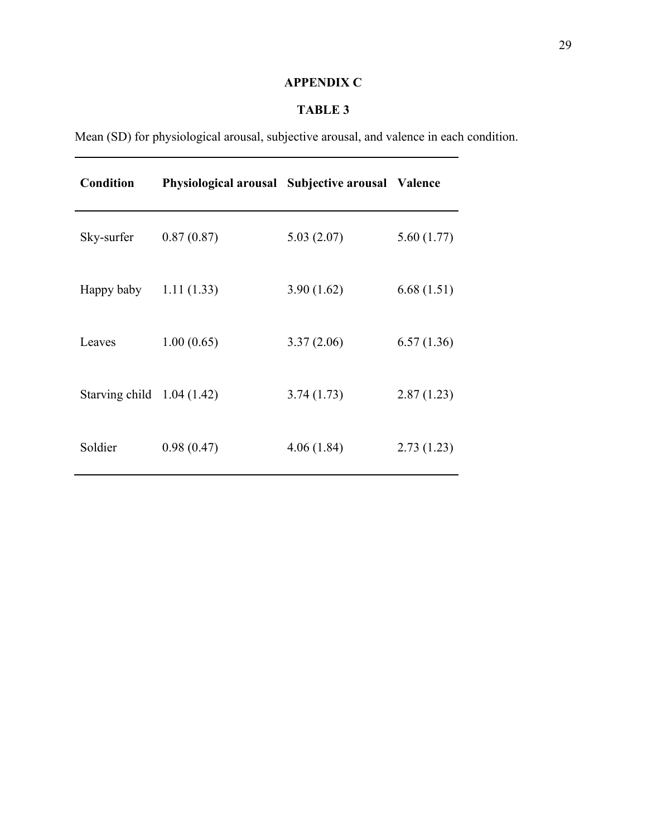# **APPENDIX C**

# **TABLE 3**

Mean (SD) for physiological arousal, subjective arousal, and valence in each condition.

| Condition                   | Physiological arousal Subjective arousal Valence |            |            |
|-----------------------------|--------------------------------------------------|------------|------------|
| Sky-surfer                  | 0.87(0.87)                                       | 5.03(2.07) | 5.60(1.77) |
| Happy baby                  | 1.11(1.33)                                       | 3.90(1.62) | 6.68(1.51) |
| Leaves                      | 1.00(0.65)                                       | 3.37(2.06) | 6.57(1.36) |
| Starving child $1.04(1.42)$ |                                                  | 3.74(1.73) | 2.87(1.23) |
| Soldier                     | 0.98(0.47)                                       | 4.06(1.84) | 2.73(1.23) |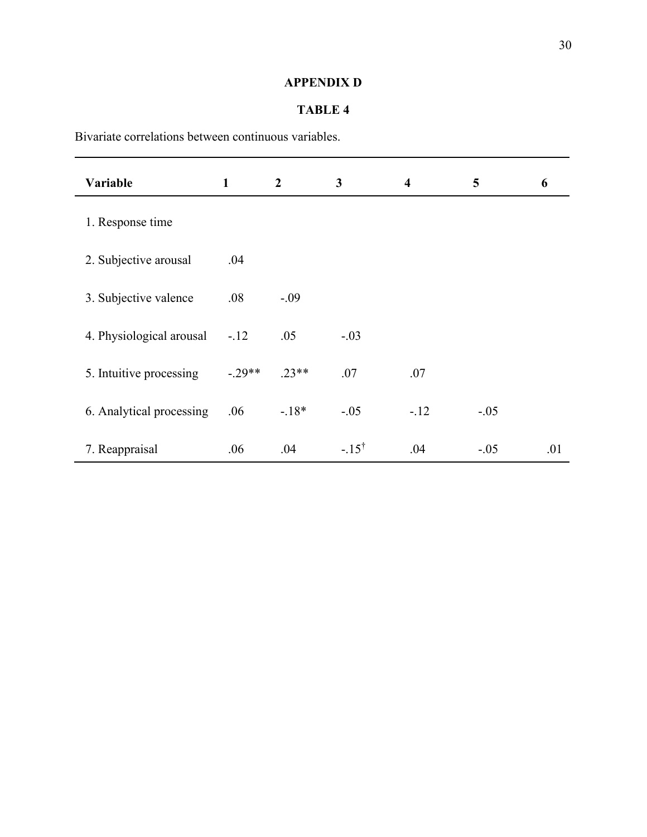# **APPENDIX D**

## **TABLE 4**

Bivariate correlations between continuous variables.

| Variable                 | $\mathbf{1}$ | $\overline{2}$ | $\mathbf{3}$     | $\overline{\mathbf{4}}$ | 5      | 6   |
|--------------------------|--------------|----------------|------------------|-------------------------|--------|-----|
| 1. Response time         |              |                |                  |                         |        |     |
| 2. Subjective arousal    | .04          |                |                  |                         |        |     |
| 3. Subjective valence    | .08          | $-.09$         |                  |                         |        |     |
| 4. Physiological arousal | $-.12$       | .05            | $-.03$           |                         |        |     |
| 5. Intuitive processing  | $-.29**$     | $.23**$        | .07              | .07                     |        |     |
| 6. Analytical processing | .06          | $-.18*$        | $-.05$           | $-12$                   | $-.05$ |     |
| 7. Reappraisal           | .06          | .04            | $-.15^{\dagger}$ | .04                     | $-.05$ | .01 |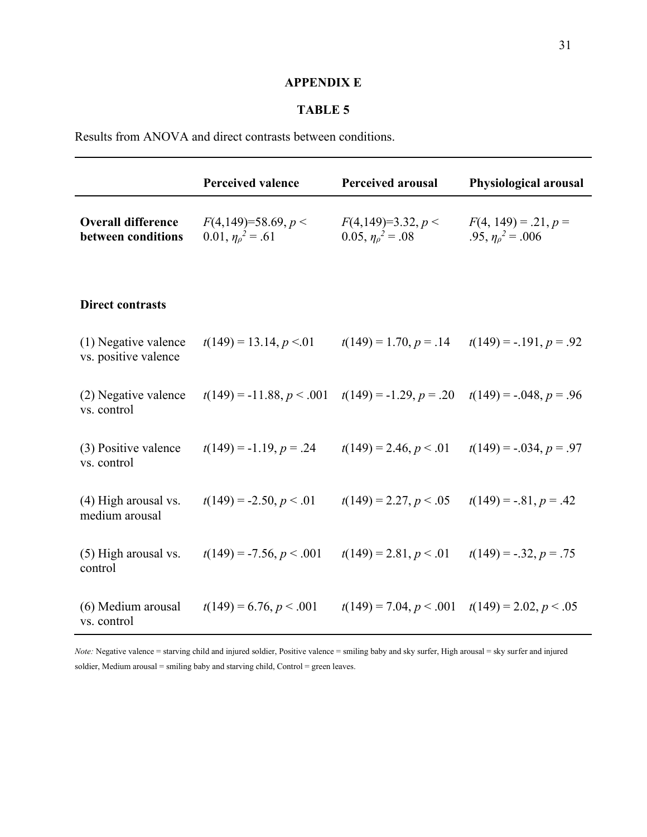## **APPENDIX E**

## **TABLE 5**

Results from ANOVA and direct contrasts between conditions.

|                                                 | <b>Perceived valence</b>                                                        | <b>Perceived arousal</b>                            | <b>Physiological arousal</b>                          |
|-------------------------------------------------|---------------------------------------------------------------------------------|-----------------------------------------------------|-------------------------------------------------------|
| <b>Overall difference</b><br>between conditions | $F(4,149)=58.69, p<$<br>$0.01, \eta_0^2 = .61$                                  | $F(4,149)=3.32, p <$<br>$0.05, \eta_{\rho}^2 = .08$ | $F(4, 149) = .21, p =$<br>.95, $\eta_{\rho}^2$ = .006 |
| <b>Direct contrasts</b>                         |                                                                                 |                                                     |                                                       |
| (1) Negative valence<br>vs. positive valence    | $t(149) = 13.14, p < 0.01$                                                      | $t(149) = 1.70, p = .14$                            | $t(149) = -.191, p = .92$                             |
| (2) Negative valence<br>vs. control             | $t(149) = -11.88, p < .001$ $t(149) = -1.29, p = .20$ $t(149) = -.048, p = .96$ |                                                     |                                                       |
| (3) Positive valence<br>vs. control             | $t(149) = -1.19, p = .24$                                                       | $t(149) = 2.46, p < 0.01$                           | $t(149) = -.034, p = .97$                             |
| (4) High arousal vs.<br>medium arousal          | $t(149) = -2.50, p < 0.01$                                                      | $t(149) = 2.27, p < .05$                            | $t(149) = -.81, p = .42$                              |
| (5) High arousal vs.<br>control                 | $t(149) = -7.56, p < .001$                                                      | $t(149) = 2.81, p < .01$                            | $t(149) = -.32, p = .75$                              |
| (6) Medium arousal<br>vs. control               | $t(149) = 6.76, p < .001$                                                       | $t(149) = 7.04, p < .001$ $t(149) = 2.02, p < .05$  |                                                       |

*Note:* Negative valence = starving child and injured soldier, Positive valence = smiling baby and sky surfer, High arousal = sky surfer and injured soldier, Medium arousal = smiling baby and starving child, Control = green leaves.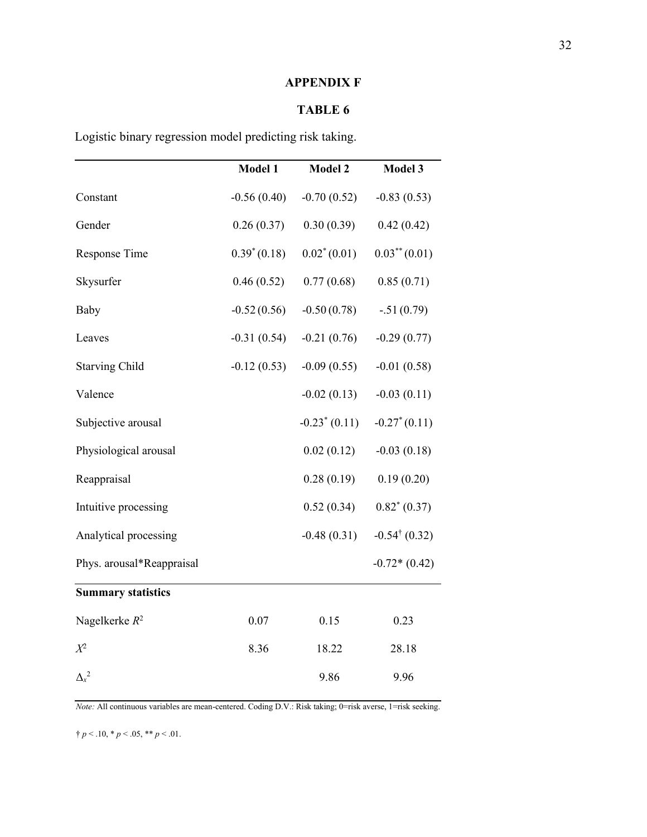## **APPENDIX F**

# **TABLE 6**

Logistic binary regression model predicting risk taking.

|                           | <b>Model 1</b> | <b>Model 2</b>  | Model 3                  |
|---------------------------|----------------|-----------------|--------------------------|
| Constant                  | $-0.56(0.40)$  | $-0.70(0.52)$   | $-0.83(0.53)$            |
| Gender                    | 0.26(0.37)     | 0.30(0.39)      | 0.42(0.42)               |
| Response Time             | $0.39^*(0.18)$ | $0.02^*(0.01)$  | $0.03^{**}(0.01)$        |
| Skysurfer                 | 0.46(0.52)     | 0.77(0.68)      | 0.85(0.71)               |
| Baby                      | $-0.52(0.56)$  | $-0.50(0.78)$   | $-.51(0.79)$             |
| Leaves                    | $-0.31(0.54)$  | $-0.21(0.76)$   | $-0.29(0.77)$            |
| <b>Starving Child</b>     | $-0.12(0.53)$  | $-0.09(0.55)$   | $-0.01(0.58)$            |
| Valence                   |                | $-0.02(0.13)$   | $-0.03(0.11)$            |
| Subjective arousal        |                | $-0.23^*(0.11)$ | $-0.27^*(0.11)$          |
| Physiological arousal     |                | 0.02(0.12)      | $-0.03(0.18)$            |
| Reappraisal               |                | 0.28(0.19)      | 0.19(0.20)               |
| Intuitive processing      |                | 0.52(0.34)      | $0.82^*(0.37)$           |
| Analytical processing     |                | $-0.48(0.31)$   | $-0.54^{\dagger}$ (0.32) |
| Phys. arousal*Reappraisal |                |                 | $-0.72*(0.42)$           |
| <b>Summary statistics</b> |                |                 |                          |
| Nagelkerke $R^2$          | 0.07           | 0.15            | 0.23                     |
| $X^2$                     | 8.36           | 18.22           | 28.18                    |
| $\Delta_{x}^{2}$          |                | 9.86            | 9.96                     |

*Note:* All continuous variables are mean-centered. Coding D.V.: Risk taking; 0=risk averse, 1=risk seeking.

 $\uparrow p < .10, \, \ast p < .05, \, \ast \ast p < .01.$